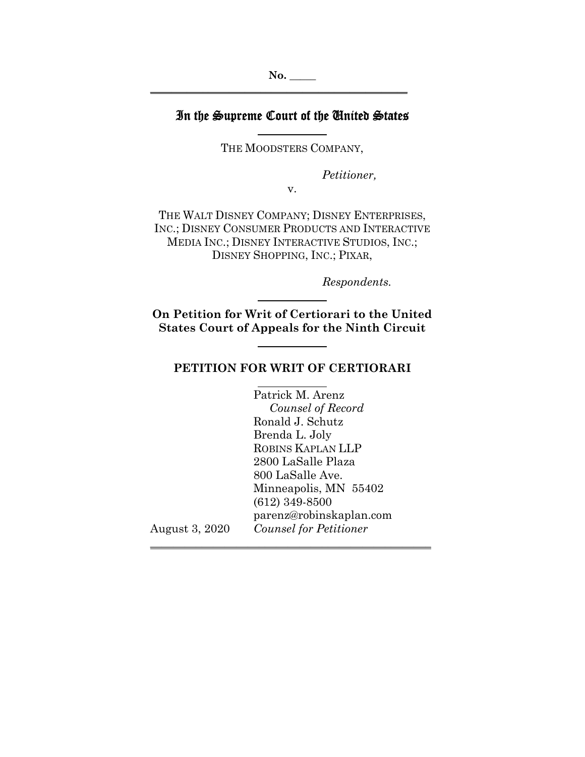# In the Supreme Court of the United States

THE MOODSTERS COMPANY,

*Petitioner,* 

v.

THE WALT DISNEY COMPANY; DISNEY ENTERPRISES, INC.; DISNEY CONSUMER PRODUCTS AND INTERACTIVE MEDIA INC.; DISNEY INTERACTIVE STUDIOS, INC.; DISNEY SHOPPING, INC.; PIXAR,

*Respondents.* 

**On Petition for Writ of Certiorari to the United States Court of Appeals for the Ninth Circuit** 

l

l

l

#### **PETITION FOR WRIT OF CERTIORARI**

 Patrick M. Arenz *Counsel of Record* Ronald J. Schutz Brenda L. Joly ROBINS KAPLAN LLP 2800 LaSalle Plaza 800 LaSalle Ave. Minneapolis, MN 55402 (612) 349-8500 parenz@robinskaplan.com August 3, 2020 *Counsel for Petitioner* 

**\_\_\_\_\_\_\_\_\_\_\_\_\_\_\_\_\_\_\_\_\_\_\_\_\_\_\_\_\_\_\_\_\_\_\_\_\_\_\_\_\_\_\_\_\_\_\_\_\_**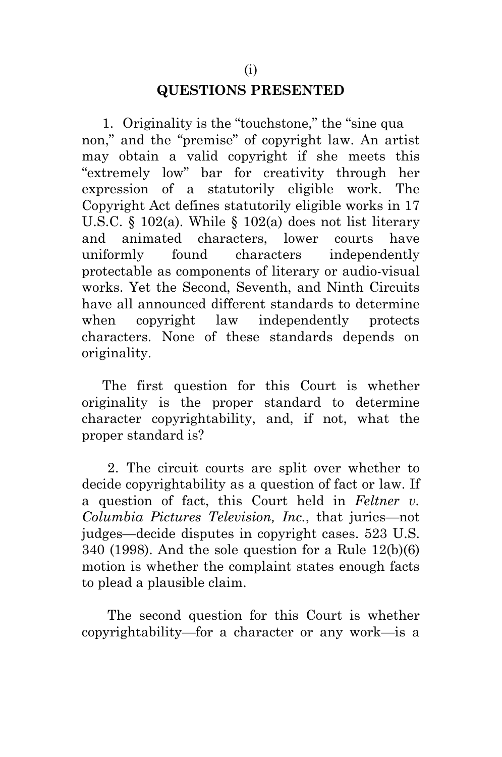# **QUESTIONS PRESENTED**

<span id="page-1-0"></span>1. Originality is the "touchstone," the "sine qua non," and the "premise" of copyright law. An artist may obtain a valid copyright if she meets this "extremely low" bar for creativity through her expression of a statutorily eligible work. The Copyright Act defines statutorily eligible works in 17 U.S.C. § 102(a). While § 102(a) does not list literary and animated characters, lower courts have uniformly found characters independently protectable as components of literary or audio-visual works. Yet the Second, Seventh, and Ninth Circuits have all announced different standards to determine when copyright law independently protects characters. None of these standards depends on originality.

The first question for this Court is whether originality is the proper standard to determine character copyrightability, and, if not, what the proper standard is?

2. The circuit courts are split over whether to decide copyrightability as a question of fact or law. If a question of fact, this Court held in *Feltner v. Columbia Pictures Television, Inc.*, that juries—not judges—decide disputes in copyright cases. 523 U.S. 340 (1998). And the sole question for a Rule 12(b)(6) motion is whether the complaint states enough facts to plead a plausible claim.

The second question for this Court is whether copyrightability—for a character or any work—is a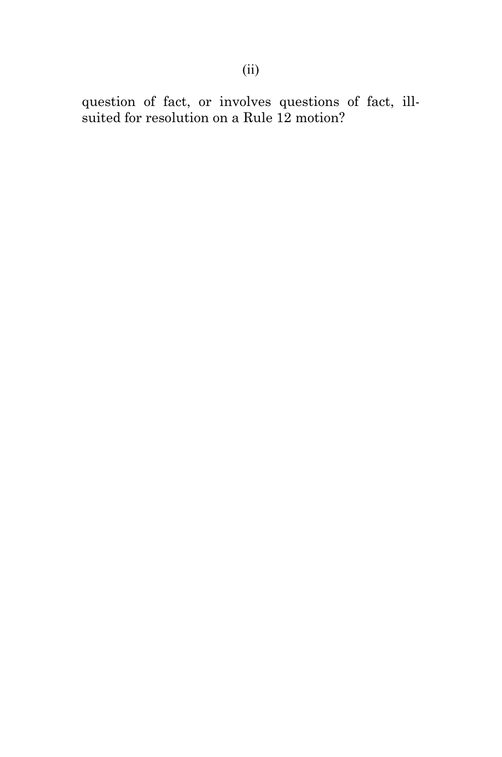<span id="page-2-0"></span>question of fact, or involves questions of fact, illsuited for resolution on a Rule 12 motion?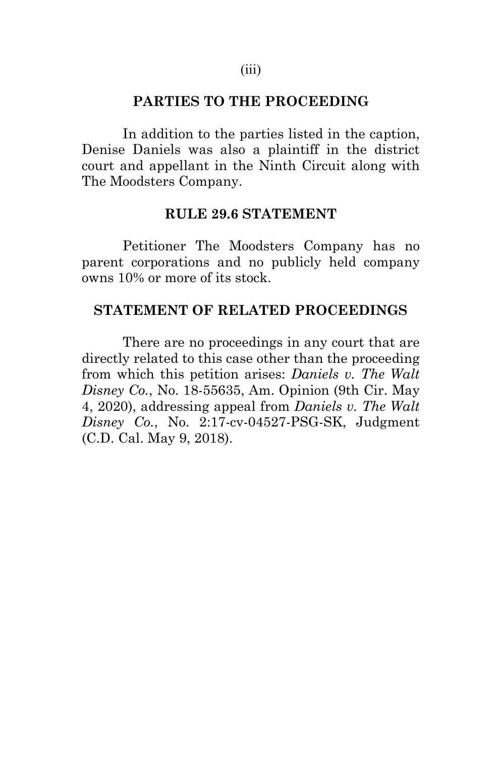#### **PARTIES TO THE PROCEEDING**

In addition to the parties listed in the caption, Denise Daniels was also a plaintiff in the district court and appellant in the Ninth Circuit along with The Moodsters Company.

#### **RULE 29.6 STATEMENT**

<span id="page-3-0"></span>Petitioner The Moodsters Company has no parent corporations and no publicly held company owns 10% or more of its stock.

#### <span id="page-3-1"></span>**STATEMENT OF RELATED PROCEEDINGS**

There are no proceedings in any court that are directly related to this case other than the proceeding from which this petition arises: *Daniels v. The Walt Disney Co.*, No. 18-55635, Am. Opinion (9th Cir. May 4, 2020), addressing appeal from *Daniels v. The Walt Disney Co.*, No. 2:17-cv-04527-PSG-SK, Judgment (C.D. Cal. May 9, 2018).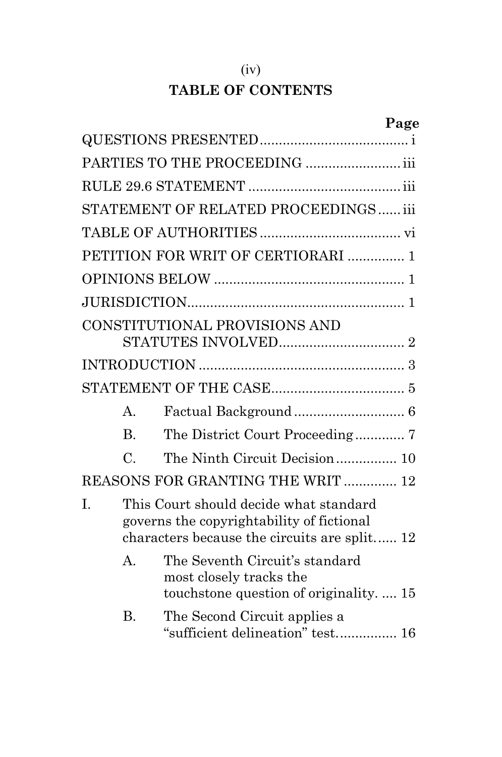# (iv) **TABLE OF CONTENTS**

|    |                 |                                                                                                                                     | Page |
|----|-----------------|-------------------------------------------------------------------------------------------------------------------------------------|------|
|    |                 |                                                                                                                                     |      |
|    |                 | PARTIES TO THE PROCEEDING  iii                                                                                                      |      |
|    |                 |                                                                                                                                     |      |
|    |                 | STATEMENT OF RELATED PROCEEDINGS iii                                                                                                |      |
|    |                 |                                                                                                                                     |      |
|    |                 | PETITION FOR WRIT OF CERTIORARI  1                                                                                                  |      |
|    |                 |                                                                                                                                     |      |
|    |                 |                                                                                                                                     |      |
|    |                 | CONSTITUTIONAL PROVISIONS AND                                                                                                       |      |
|    |                 |                                                                                                                                     |      |
|    |                 |                                                                                                                                     |      |
|    | А.              |                                                                                                                                     |      |
|    | B <sub>r</sub>  |                                                                                                                                     |      |
|    | $\mathcal{C}$ . | The Ninth Circuit Decision 10                                                                                                       |      |
|    |                 | REASONS FOR GRANTING THE WRIT  12                                                                                                   |      |
| Ī. |                 | This Court should decide what standard<br>governs the copyrightability of fictional<br>characters because the circuits are split 12 |      |
|    | $A_{\cdot}$     | The Seventh Circuit's standard<br>most closely tracks the<br>touchstone question of originality.  15                                |      |
|    | <b>B.</b>       | The Second Circuit applies a<br>"sufficient delineation" test 16                                                                    |      |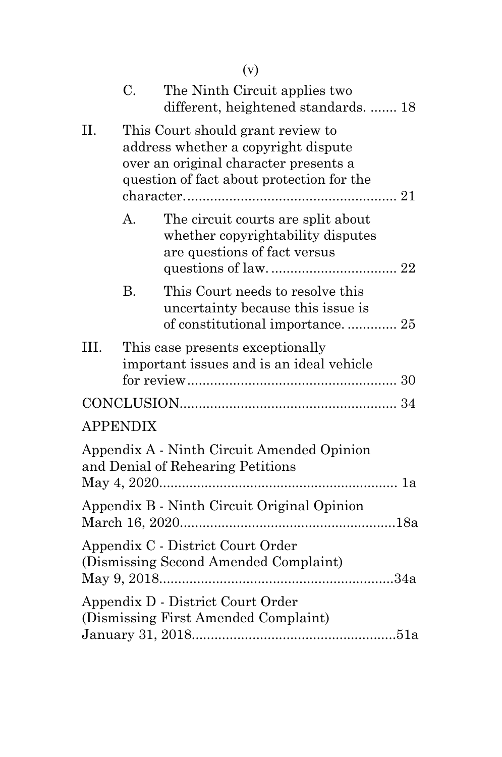<span id="page-5-0"></span>

|                                                                                                                                                                       |           | (v)                                                                                                      |
|-----------------------------------------------------------------------------------------------------------------------------------------------------------------------|-----------|----------------------------------------------------------------------------------------------------------|
|                                                                                                                                                                       | C.        | The Ninth Circuit applies two<br>different, heightened standards.  18                                    |
| II.<br>This Court should grant review to<br>address whether a copyright dispute<br>over an original character presents a<br>question of fact about protection for the |           |                                                                                                          |
|                                                                                                                                                                       | A.        | The circuit courts are split about<br>whether copyrightability disputes<br>are questions of fact versus  |
|                                                                                                                                                                       | <b>B.</b> | This Court needs to resolve this<br>uncertainty because this issue is<br>of constitutional importance 25 |
| III.                                                                                                                                                                  |           | This case presents exceptionally<br>important issues and is an ideal vehicle                             |
|                                                                                                                                                                       |           |                                                                                                          |
| <b>APPENDIX</b>                                                                                                                                                       |           |                                                                                                          |
|                                                                                                                                                                       |           | Appendix A - Ninth Circuit Amended Opinion<br>and Denial of Rehearing Petitions                          |
|                                                                                                                                                                       |           | Appendix B - Ninth Circuit Original Opinion                                                              |
|                                                                                                                                                                       |           | Appendix C - District Court Order<br>(Dismissing Second Amended Complaint)                               |
|                                                                                                                                                                       |           | Appendix D - District Court Order<br>(Dismissing First Amended Complaint)                                |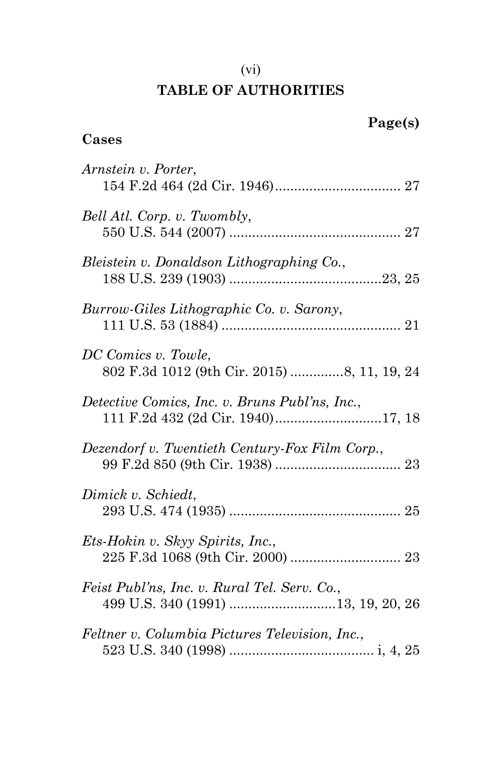# (vi) **TABLE OF AUTHORITIES**

# **Cases**

| Arnstein v. Porter,                                                                |
|------------------------------------------------------------------------------------|
| Bell Atl. Corp. v. Twombly,                                                        |
| Bleistein v. Donaldson Lithographing Co.,                                          |
| Burrow-Giles Lithographic Co. v. Sarony,                                           |
| DC Comics v. Towle,<br>802 F.3d 1012 (9th Cir. 2015) 8, 11, 19, 24                 |
| Detective Comics, Inc. v. Bruns Publ'ns, Inc.,                                     |
| Dezendorf v. Twentieth Century-Fox Film Corp.,                                     |
| Dimick v. Schiedt,                                                                 |
| Ets-Hokin v. Skyy Spirits, Inc.,                                                   |
| Feist Publ'ns, Inc. v. Rural Tel. Serv. Co.,<br>499 U.S. 340 (1991) 13, 19, 20, 26 |
| Feltner v. Columbia Pictures Television, Inc.,                                     |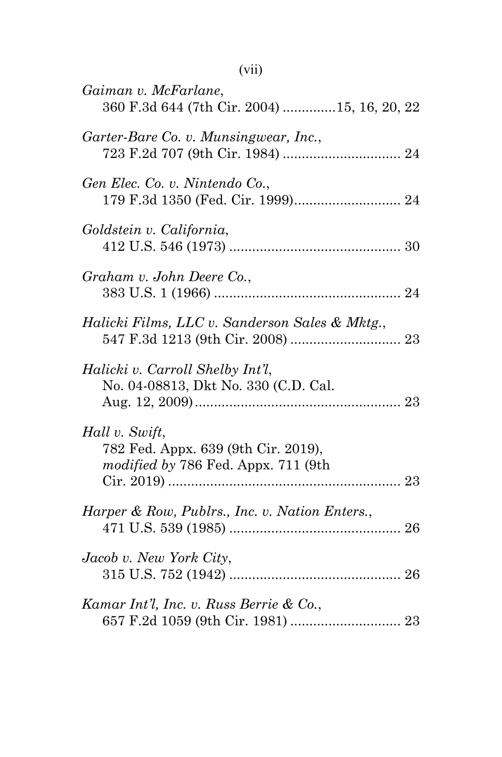| Gaiman v. McFarlane,<br>360 F.3d 644 (7th Cir. 2004) 15, 16, 20, 22                          |  |
|----------------------------------------------------------------------------------------------|--|
| Garter-Bare Co. v. Munsingwear, Inc.,                                                        |  |
| Gen Elec. Co. v. Nintendo Co.,                                                               |  |
| Goldstein v. California,                                                                     |  |
| Graham v. John Deere Co.,                                                                    |  |
| Halicki Films, LLC v. Sanderson Sales & Mktg.,                                               |  |
| Halicki v. Carroll Shelby Int'l,<br>No. 04-08813, Dkt No. 330 (C.D. Cal.                     |  |
| Hall v. Swift,<br>782 Fed. Appx. 639 (9th Cir. 2019),<br>modified by 786 Fed. Appx. 711 (9th |  |
| Harper & Row, Publrs., Inc. v. Nation Enters.,                                               |  |
| Jacob v. New York City,                                                                      |  |
| Kamar Int'l, Inc. v. Russ Berrie & Co.,                                                      |  |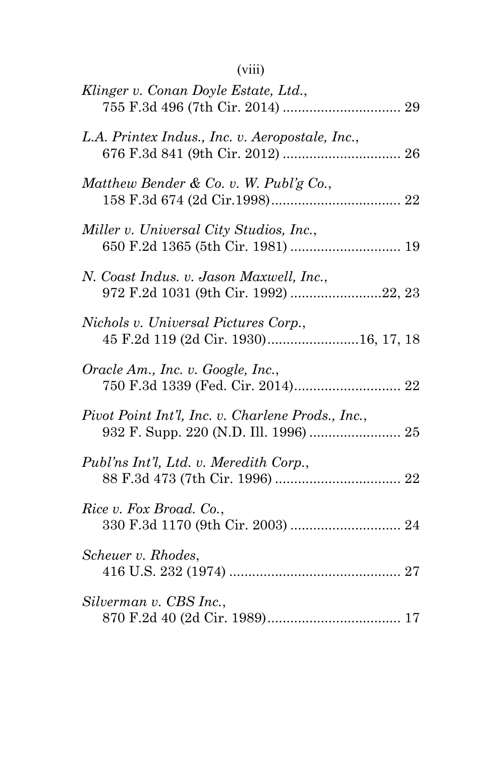# (viii)

| Klinger v. Conan Doyle Estate, Ltd.,                                                       |
|--------------------------------------------------------------------------------------------|
| L.A. Printex Indus., Inc. v. Aeropostale, Inc.,                                            |
| Matthew Bender & Co. v. W. Publ'g Co.,                                                     |
| Miller v. Universal City Studios, Inc.,                                                    |
| N. Coast Indus. v. Jason Maxwell, Inc.,<br>972 F.2d 1031 (9th Cir. 1992) 22, 23            |
| Nichols v. Universal Pictures Corp.,<br>45 F.2d 119 (2d Cir. 1930)16, 17, 18               |
| Oracle Am., Inc. v. Google, Inc.,                                                          |
| Pivot Point Int'l, Inc. v. Charlene Prods., Inc.,<br>932 F. Supp. 220 (N.D. Ill. 1996)  25 |
| Publ'ns Int'l, Ltd. v. Meredith Corp.,                                                     |
| Rice v. Fox Broad. Co.,                                                                    |
| Scheuer v. Rhodes,                                                                         |
| Silverman v. CBS Inc.,                                                                     |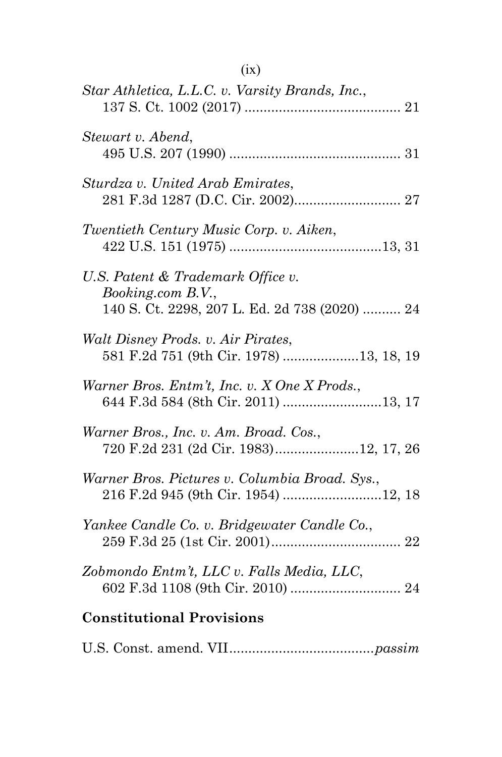| Star Athletica, L.L.C. v. Varsity Brands, Inc.,                                                         |
|---------------------------------------------------------------------------------------------------------|
| Stewart v. Abend,                                                                                       |
| Sturdza v. United Arab Emirates,                                                                        |
| Twentieth Century Music Corp. v. Aiken,                                                                 |
| U.S. Patent & Trademark Office v.<br>Booking.com B.V.,<br>140 S. Ct. 2298, 207 L. Ed. 2d 738 (2020)  24 |
| Walt Disney Prods. v. Air Pirates,                                                                      |
| Warner Bros. Entm't, Inc. v. X One X Prods.,<br>644 F.3d 584 (8th Cir. 2011) 13, 17                     |
| Warner Bros., Inc. v. Am. Broad. Cos.,<br>720 F.2d 231 (2d Cir. 1983)12, 17, 26                         |
| Warner Bros. Pictures v. Columbia Broad. Sys.,<br>216 F.2d 945 (9th Cir. 1954) 12, 18                   |
| Yankee Candle Co. v. Bridgewater Candle Co.,                                                            |
| Zobmondo Entm't, LLC v. Falls Media, LLC,                                                               |
| <b>Constitutional Provisions</b>                                                                        |

U.S. Const. amend. VII......................................*[passim](#page-13-1)*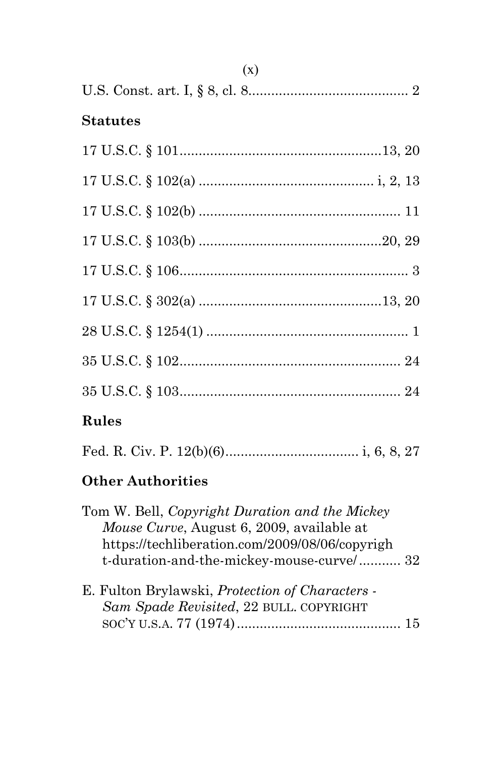| $(\Lambda)$     |
|-----------------|
|                 |
| <b>Statutes</b> |
|                 |
|                 |
|                 |
|                 |
|                 |
|                 |
|                 |
|                 |
|                 |
| Rules           |
|                 |

# **Other Authorities**

| Tom W. Bell, Copyright Duration and the Mickey                                                    |  |
|---------------------------------------------------------------------------------------------------|--|
| <i>Mouse Curve, August 6, 2009, available at</i>                                                  |  |
| https://techliberation.com/2009/08/06/copyrigh                                                    |  |
| t-duration-and-the-mickey-mouse-curve/ 32                                                         |  |
| E. Fulton Brylawski, <i>Protection of Characters</i> -<br>Sam Spade Revisited, 22 BULL. COPYRIGHT |  |

 $(x)$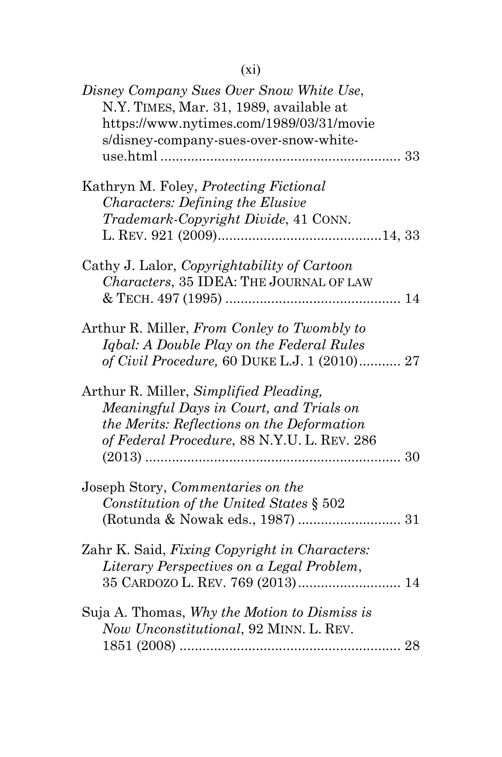| Disney Company Sues Over Snow White Use,<br>N.Y. TIMES, Mar. 31, 1989, available at<br>https://www.nytimes.com/1989/03/31/movie<br>s/disney-company-sues-over-snow-white-      |  |
|--------------------------------------------------------------------------------------------------------------------------------------------------------------------------------|--|
| Kathryn M. Foley, Protecting Fictional<br><b>Characters: Defining the Elusive</b><br>Trademark-Copyright Divide, 41 CONN.                                                      |  |
| Cathy J. Lalor, Copyrightability of Cartoon<br>Characters, 35 IDEA: THE JOURNAL OF LAW                                                                                         |  |
| Arthur R. Miller, From Conley to Twombly to<br>Igbal: A Double Play on the Federal Rules<br>of Civil Procedure, 60 DUKE L.J. 1 (2010) 27                                       |  |
| Arthur R. Miller, Simplified Pleading,<br>Meaningful Days in Court, and Trials on<br>the Merits: Reflections on the Deformation<br>of Federal Procedure, 88 N.Y.U. L. REV. 286 |  |
| Joseph Story, Commentaries on the<br>Constitution of the United States § 502                                                                                                   |  |
| Zahr K. Said, Fixing Copyright in Characters:<br>Literary Perspectives on a Legal Problem,<br>35 CARDOZO L. REV. 769 (2013) 14                                                 |  |
| Suja A. Thomas, Why the Motion to Dismiss is<br>Now Unconstitutional, 92 MINN. L. REV.                                                                                         |  |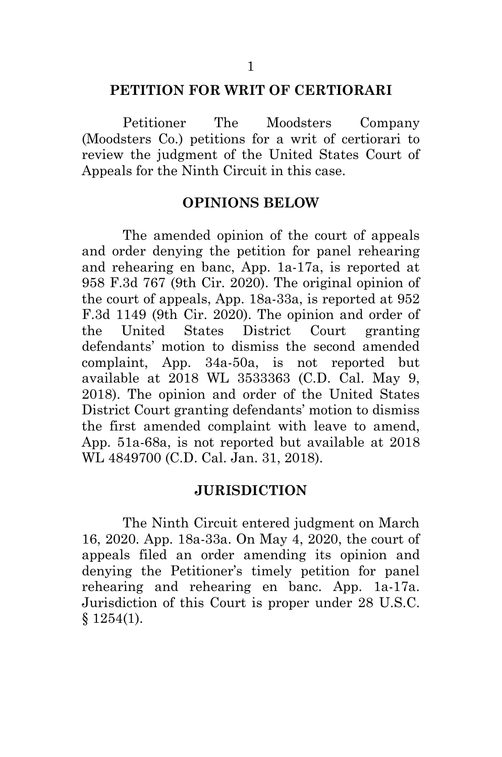#### <span id="page-12-0"></span>**PETITION FOR WRIT OF CERTIORARI**

Petitioner The Moodsters Company (Moodsters Co.) petitions for a writ of certiorari to review the judgment of the United States Court of Appeals for the Ninth Circuit in this case.

#### **OPINIONS BELOW**

<span id="page-12-1"></span>The amended opinion of the court of appeals and order denying the petition for panel rehearing and rehearing en banc, App. 1a-17a, is reported at 958 F.3d 767 (9th Cir. 2020). The original opinion of the court of appeals, App. 18a-33a, is reported at 952 F.3d 1149 (9th Cir. 2020). The opinion and order of the United States District Court granting defendants' motion to dismiss the second amended complaint, App. 34a-50a, is not reported but available at 2018 WL 3533363 (C.D. Cal. May 9, 2018). The opinion and order of the United States District Court granting defendants' motion to dismiss the first amended complaint with leave to amend, App. 51a-68a, is not reported but available at 2018 WL 4849700 (C.D. Cal. Jan. 31, 2018).

#### <span id="page-12-3"></span>**JURISDICTION**

<span id="page-12-2"></span>The Ninth Circuit entered judgment on March 16, 2020. App. 18a-33a. On May 4, 2020, the court of appeals filed an order amending its opinion and denying the Petitioner's timely petition for panel rehearing and rehearing en banc. App. 1a-17a. Jurisdiction of this Court is proper under 28 U.S.C. § 1254(1).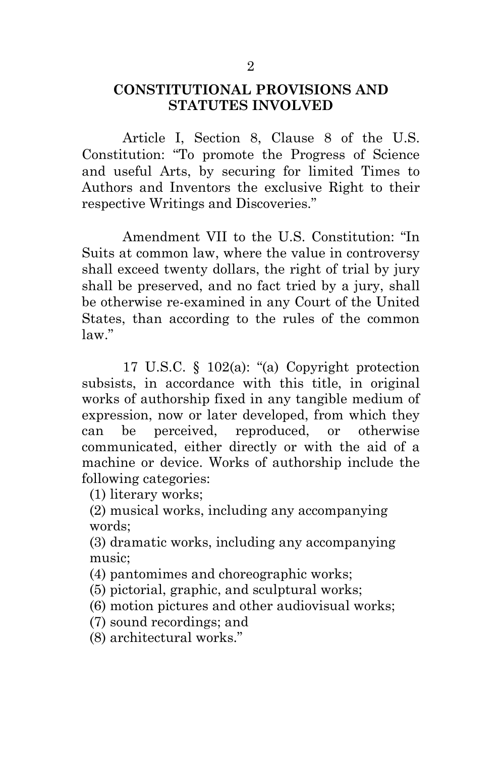### <span id="page-13-0"></span>**CONSTITUTIONAL PROVISIONS AND STATUTES INVOLVED**

<span id="page-13-2"></span>Article I, Section 8, Clause 8 of the U.S. Constitution: "To promote the Progress of Science and useful Arts, by securing for limited Times to Authors and Inventors the exclusive Right to their respective Writings and Discoveries."

<span id="page-13-1"></span>Amendment VII to the U.S. Constitution: "In Suits at common law, where the value in controversy shall exceed twenty dollars, the right of trial by jury shall be preserved, and no fact tried by a jury, shall be otherwise re-examined in any Court of the United States, than according to the rules of the common law."

17 U.S.C. § 102(a): "(a) Copyright protection subsists, in accordance with this title, in original works of authorship fixed in any tangible medium of expression, now or later developed, from which they can be perceived, reproduced, or otherwise communicated, either directly or with the aid of a [machine](https://www.law.cornell.edu/definitions/uscode.php?width=840&height=800&iframe=true&def_id=17-USC-825312327-364936160&term_occur=999&term_src=title:17:chapter:1:section:102) o[r device.](https://www.law.cornell.edu/definitions/uscode.php?width=840&height=800&iframe=true&def_id=17-USC-1335157162-364936160&term_occur=999&term_src=) Works of authorship include the following categories:

(1) [literary works;](https://www.law.cornell.edu/definitions/uscode.php?width=840&height=800&iframe=true&def_id=17-USC-1822058778-364936160&term_occur=999&term_src=)

 (2) musical works, [including](https://www.law.cornell.edu/definitions/uscode.php?width=840&height=800&iframe=true&def_id=17-USC-1496914075-364936160&term_occur=999&term_src=title:17:chapter:1:section:102) any accompanying words;

 (3) dramatic works, [including](https://www.law.cornell.edu/definitions/uscode.php?width=840&height=800&iframe=true&def_id=17-USC-1496914075-364936160&term_occur=999&term_src=title:17:chapter:1:section:102) any accompanying music;

(4) pantomimes and choreographic works;

(5) pictorial, graphic, and sculptural works;

(6) [motion pictures](https://www.law.cornell.edu/definitions/uscode.php?width=840&height=800&iframe=true&def_id=17-USC-354838591-364936160&term_occur=999&term_src=) and other [audiovisual works;](https://www.law.cornell.edu/definitions/uscode.php?width=840&height=800&iframe=true&def_id=17-USC-1005842088-364936160&term_occur=999&term_src=)

(7) [sound recordings;](https://www.law.cornell.edu/definitions/uscode.php?width=840&height=800&iframe=true&def_id=17-USC-1729485709-364936160&term_occur=999&term_src=) and

(8) [architectural works.](https://www.law.cornell.edu/definitions/uscode.php?width=840&height=800&iframe=true&def_id=17-USC-190051244-364936160&term_occur=999&term_src=)"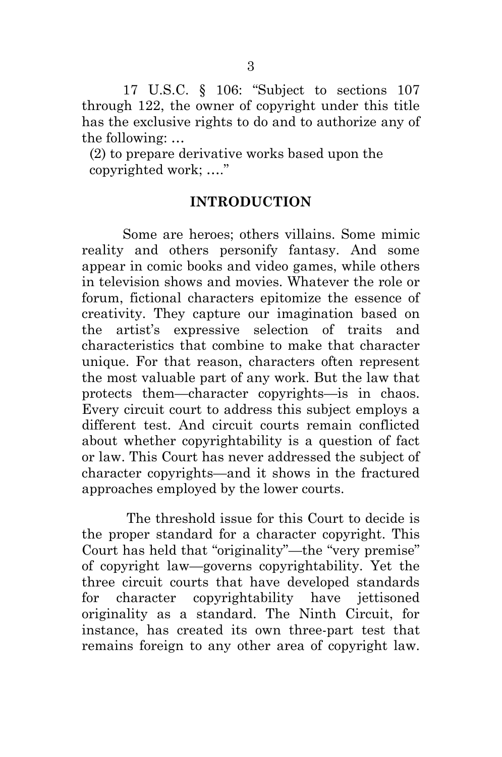<span id="page-14-1"></span>17 U.S.C. § 106: "Subject to sections 107 through 122, the owner of copyright under this title has the exclusive rights to do and to authorize any of the following: …

 (2) to prepare derivative works based upon the copyrighted work; …."

#### **INTRODUCTION**

<span id="page-14-0"></span> Some are heroes; others villains. Some mimic reality and others personify fantasy. And some appear in comic books and video games, while others in television shows and movies. Whatever the role or forum, fictional characters epitomize the essence of creativity. They capture our imagination based on the artist's expressive selection of traits and characteristics that combine to make that character unique. For that reason, characters often represent the most valuable part of any work. But the law that protects them—character copyrights—is in chaos. Every circuit court to address this subject employs a different test. And circuit courts remain conflicted about whether copyrightability is a question of fact or law. This Court has never addressed the subject of character copyrights—and it shows in the fractured approaches employed by the lower courts.

 The threshold issue for this Court to decide is the proper standard for a character copyright. This Court has held that "originality"—the "very premise" of copyright law—governs copyrightability. Yet the three circuit courts that have developed standards for character copyrightability have jettisoned originality as a standard. The Ninth Circuit, for instance, has created its own three-part test that remains foreign to any other area of copyright law.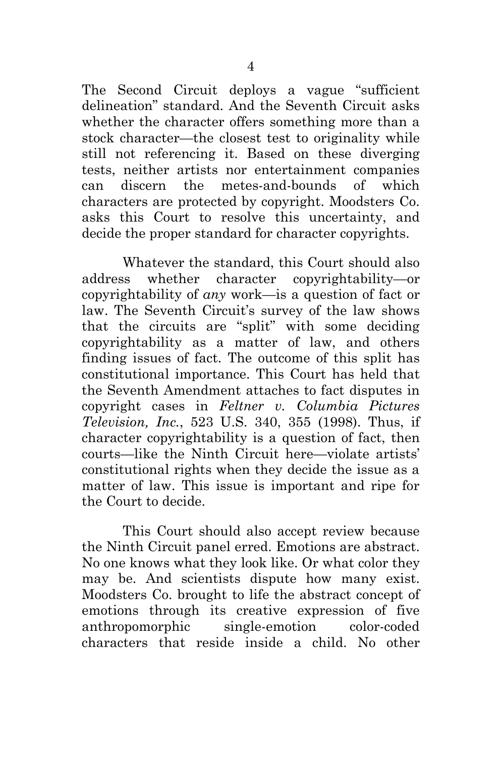The Second Circuit deploys a vague "sufficient delineation" standard. And the Seventh Circuit asks whether the character offers something more than a stock character—the closest test to originality while still not referencing it. Based on these diverging tests, neither artists nor entertainment companies can discern the metes-and-bounds of which characters are protected by copyright. Moodsters Co. asks this Court to resolve this uncertainty, and decide the proper standard for character copyrights.

Whatever the standard, this Court should also address whether character copyrightability—or copyrightability of *any* work—is a question of fact or law. The Seventh Circuit's survey of the law shows that the circuits are "split" with some deciding copyrightability as a matter of law, and others finding issues of fact. The outcome of this split has constitutional importance. This Court has held that the Seventh Amendment attaches to fact disputes in copyright cases in *Feltner v. Columbia Pictures Television, Inc.*, 523 U.S. 340, 355 (1998). Thus, if character copyrightability is a question of fact, then courts—like the Ninth Circuit here—violate artists' constitutional rights when they decide the issue as a matter of law. This issue is important and ripe for the Court to decide.

<span id="page-15-0"></span>This Court should also accept review because the Ninth Circuit panel erred. Emotions are abstract. No one knows what they look like. Or what color they may be. And scientists dispute how many exist. Moodsters Co. brought to life the abstract concept of emotions through its creative expression of five anthropomorphic single-emotion color-coded characters that reside inside a child. No other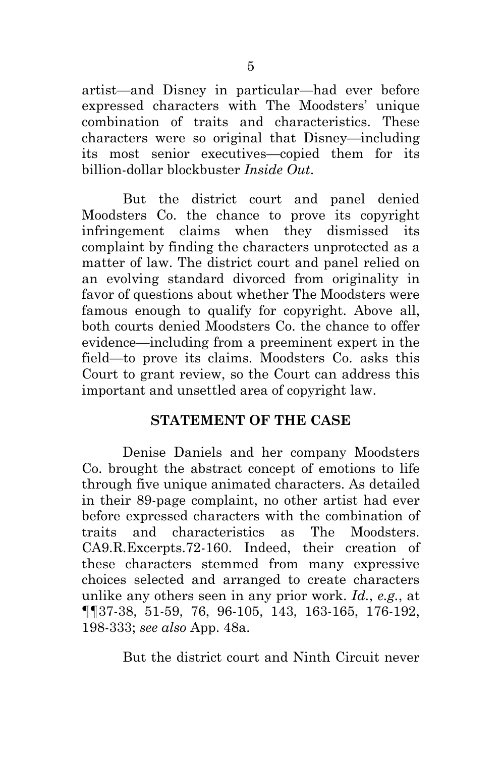artist—and Disney in particular—had ever before expressed characters with The Moodsters' unique combination of traits and characteristics. These characters were so original that Disney—including its most senior executives—copied them for its billion-dollar blockbuster *Inside Out*.

But the district court and panel denied Moodsters Co. the chance to prove its copyright infringement claims when they dismissed its complaint by finding the characters unprotected as a matter of law. The district court and panel relied on an evolving standard divorced from originality in favor of questions about whether The Moodsters were famous enough to qualify for copyright. Above all, both courts denied Moodsters Co. the chance to offer evidence—including from a preeminent expert in the field—to prove its claims. Moodsters Co. asks this Court to grant review, so the Court can address this important and unsettled area of copyright law.

#### **STATEMENT OF THE CASE**

<span id="page-16-0"></span>Denise Daniels and her company Moodsters Co. brought the abstract concept of emotions to life through five unique animated characters. As detailed in their 89-page complaint, no other artist had ever before expressed characters with the combination of traits and characteristics as The Moodsters. CA9.R.Excerpts.72-160. Indeed, their creation of these characters stemmed from many expressive choices selected and arranged to create characters unlike any others seen in any prior work. *Id.*, *e.g.*, at ¶¶37-38, 51-59, 76, 96-105, 143, 163-165, 176-192, 198-333; *see also* App. 48a.

But the district court and Ninth Circuit never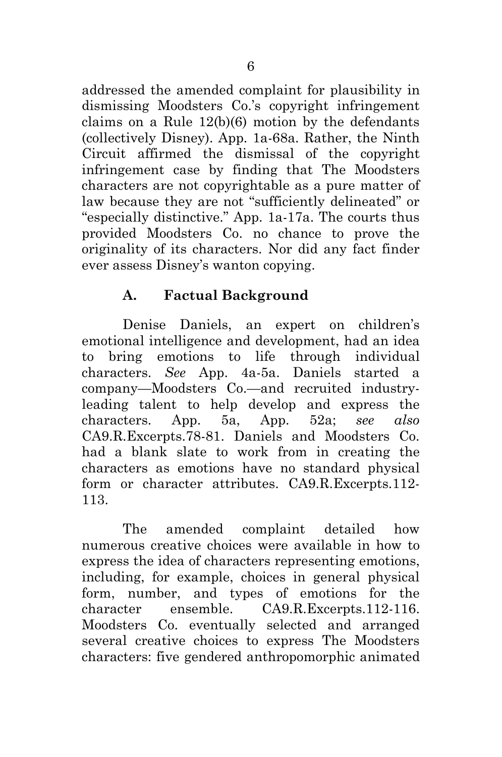addressed the amended complaint for plausibility in dismissing Moodsters Co.'s copyright infringement claims on a Rule 12(b)(6) motion by the defendants (collectively Disney). App. 1a-68a. Rather, the Ninth Circuit affirmed the dismissal of the copyright infringement case by finding that The Moodsters characters are not copyrightable as a pure matter of law because they are not "sufficiently delineated" or "especially distinctive." App. 1a-17a. The courts thus provided Moodsters Co. no chance to prove the originality of its characters. Nor did any fact finder ever assess Disney's wanton copying.

# **A. Factual Background**

<span id="page-17-0"></span>Denise Daniels, an expert on children's emotional intelligence and development, had an idea to bring emotions to life through individual characters. *See* App. 4a-5a. Daniels started a company—Moodsters Co.—and recruited industryleading talent to help develop and express the characters. App. 5a, App. 52a; *see also* CA9.R.Excerpts.78-81. Daniels and Moodsters Co. had a blank slate to work from in creating the characters as emotions have no standard physical form or character attributes. CA9.R.Excerpts.112- 113.

The amended complaint detailed how numerous creative choices were available in how to express the idea of characters representing emotions, including, for example, choices in general physical form, number, and types of emotions for the character ensemble. CA9.R.Excerpts.112-116. Moodsters Co. eventually selected and arranged several creative choices to express The Moodsters characters: five gendered anthropomorphic animated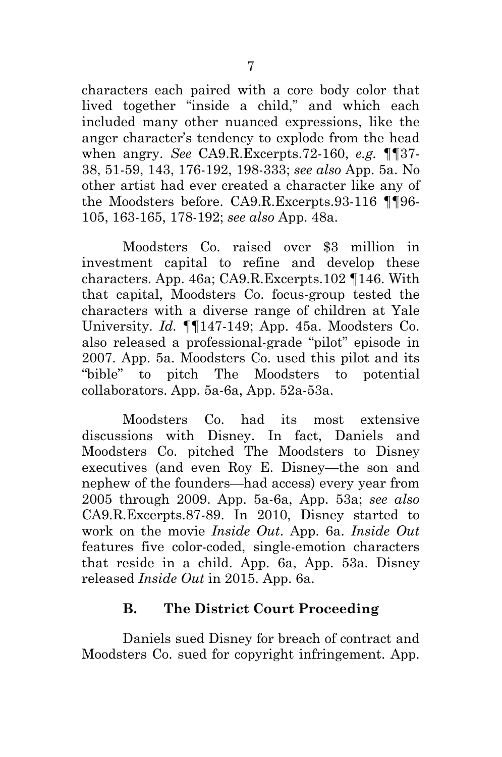characters each paired with a core body color that lived together "inside a child," and which each included many other nuanced expressions, like the anger character's tendency to explode from the head when angry. *See* CA9.R.Excerpts.72-160, *e.g.* ¶¶37- 38, 51-59, 143, 176-192, 198-333; *see also* App. 5a. No other artist had ever created a character like any of the Moodsters before. CA9.R.Excerpts.93-116 ¶¶96- 105, 163-165, 178-192; *see also* App. 48a.

Moodsters Co. raised over \$3 million in investment capital to refine and develop these characters. App. 46a; CA9.R.Excerpts.102 ¶146. With that capital, Moodsters Co. focus-group tested the characters with a diverse range of children at Yale University. *Id.* ¶¶147-149; App. 45a. Moodsters Co. also released a professional-grade "pilot" episode in 2007. App. 5a. Moodsters Co. used this pilot and its "bible" to pitch The Moodsters to potential collaborators. App. 5a-6a, App. 52a-53a.

Moodsters Co. had its most extensive discussions with Disney. In fact, Daniels and Moodsters Co. pitched The Moodsters to Disney executives (and even Roy E. Disney—the son and nephew of the founders—had access) every year from 2005 through 2009. App. 5a-6a, App. 53a; *see also* CA9.R.Excerpts.87-89. In 2010, Disney started to work on the movie *Inside Out*. App. 6a. *Inside Out* features five color-coded, single-emotion characters that reside in a child. App. 6a, App. 53a. Disney released *Inside Out* in 2015. App. 6a.

#### **B. The District Court Proceeding**

<span id="page-18-0"></span>Daniels sued Disney for breach of contract and Moodsters Co. sued for copyright infringement. App.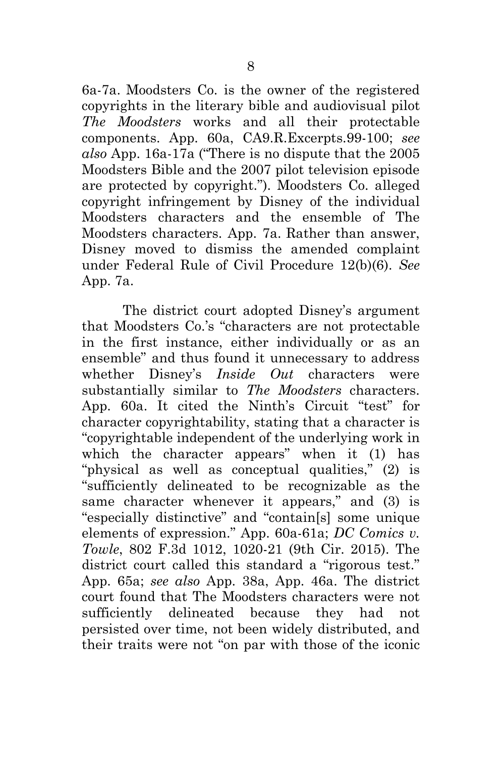6a-7a. Moodsters Co. is the owner of the registered copyrights in the literary bible and audiovisual pilot *The Moodsters* works and all their protectable components. App. 60a, CA9.R.Excerpts.99-100; *see also* App. 16a-17a ("There is no dispute that the 2005 Moodsters Bible and the 2007 pilot television episode are protected by copyright."). Moodsters Co. alleged copyright infringement by Disney of the individual Moodsters characters and the ensemble of The Moodsters characters. App. 7a. Rather than answer, Disney moved to dismiss the amended complaint under Federal Rule of Civil Procedure 12(b)(6). *See* App. 7a.

<span id="page-19-0"></span>The district court adopted Disney's argument that Moodsters Co.'s "characters are not protectable in the first instance, either individually or as an ensemble" and thus found it unnecessary to address whether Disney's *Inside Out* characters were substantially similar to *The Moodsters* characters. App. 60a. It cited the Ninth's Circuit "test" for character copyrightability, stating that a character is "copyrightable independent of the underlying work in which the character appears" when it (1) has "physical as well as conceptual qualities," (2) is "sufficiently delineated to be recognizable as the same character whenever it appears," and (3) is "especially distinctive" and "contain[s] some unique elements of expression." App. 60a-61a; *DC Comics v. Towle*, 802 F.3d 1012, 1020-21 (9th Cir. 2015). The district court called this standard a "rigorous test." App. 65a; *see also* App. 38a, App. 46a. The district court found that The Moodsters characters were not sufficiently delineated because they had not persisted over time, not been widely distributed, and their traits were not "on par with those of the iconic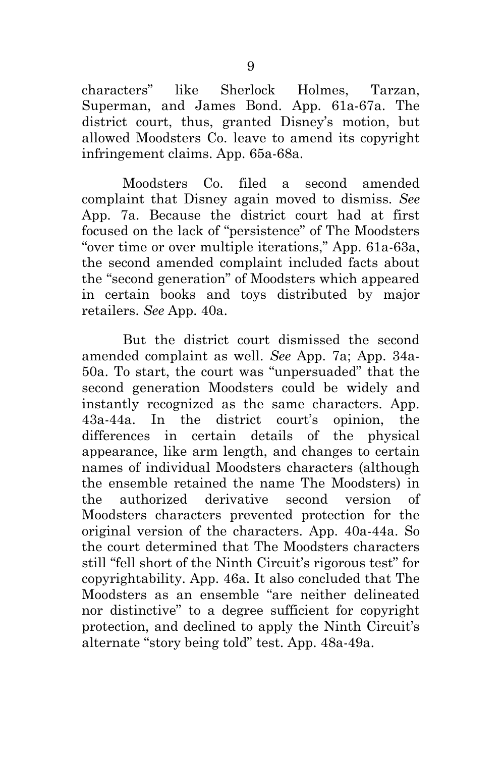characters" like Sherlock Holmes, Tarzan, Superman, and James Bond. App. 61a-67a. The district court, thus, granted Disney's motion, but allowed Moodsters Co. leave to amend its copyright infringement claims. App. 65a-68a.

Moodsters Co. filed a second amended complaint that Disney again moved to dismiss. *See* App. 7a. Because the district court had at first focused on the lack of "persistence" of The Moodsters "over time or over multiple iterations," App. 61a-63a, the second amended complaint included facts about the "second generation" of Moodsters which appeared in certain books and toys distributed by major retailers. *See* App. 40a.

But the district court dismissed the second amended complaint as well. *See* App. 7a; App. 34a-50a. To start, the court was "unpersuaded" that the second generation Moodsters could be widely and instantly recognized as the same characters. App. 43a-44a. In the district court's opinion, the differences in certain details of the physical appearance, like arm length, and changes to certain names of individual Moodsters characters (although the ensemble retained the name The Moodsters) in the authorized derivative second version of Moodsters characters prevented protection for the original version of the characters. App. 40a-44a. So the court determined that The Moodsters characters still "fell short of the Ninth Circuit's rigorous test" for copyrightability. App. 46a. It also concluded that The Moodsters as an ensemble "are neither delineated nor distinctive" to a degree sufficient for copyright protection, and declined to apply the Ninth Circuit's alternate "story being told" test. App. 48a-49a.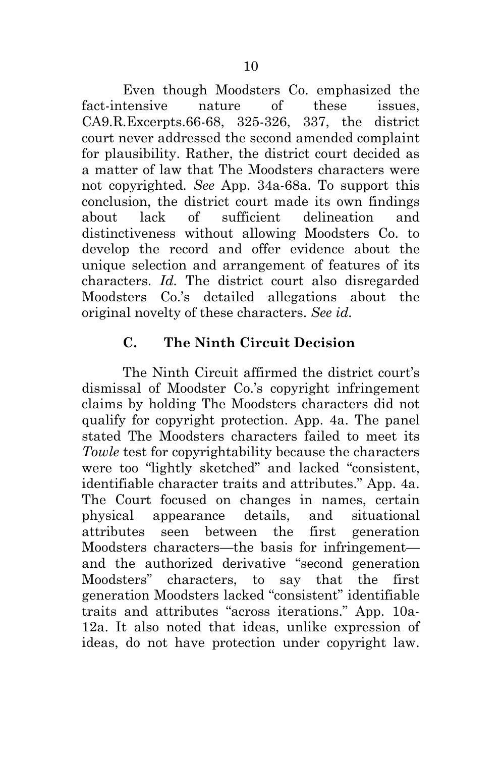Even though Moodsters Co. emphasized the fact-intensive nature of these issues, CA9.R.Excerpts.66-68, 325-326, 337, the district court never addressed the second amended complaint for plausibility. Rather, the district court decided as a matter of law that The Moodsters characters were not copyrighted. *See* App. 34a-68a. To support this conclusion, the district court made its own findings about lack of sufficient delineation and distinctiveness without allowing Moodsters Co. to develop the record and offer evidence about the unique selection and arrangement of features of its characters. *Id.* The district court also disregarded Moodsters Co.'s detailed allegations about the original novelty of these characters. *See id.*

## **C. The Ninth Circuit Decision**

<span id="page-21-0"></span>The Ninth Circuit affirmed the district court's dismissal of Moodster Co.'s copyright infringement claims by holding The Moodsters characters did not qualify for copyright protection. App. 4a. The panel stated The Moodsters characters failed to meet its *Towle* test for copyrightability because the characters were too "lightly sketched" and lacked "consistent, identifiable character traits and attributes." App. 4a. The Court focused on changes in names, certain physical appearance details, and situational attributes seen between the first generation Moodsters characters—the basis for infringement and the authorized derivative "second generation Moodsters" characters, to say that the first generation Moodsters lacked "consistent" identifiable traits and attributes "across iterations." App. 10a-12a. It also noted that ideas, unlike expression of ideas, do not have protection under copyright law.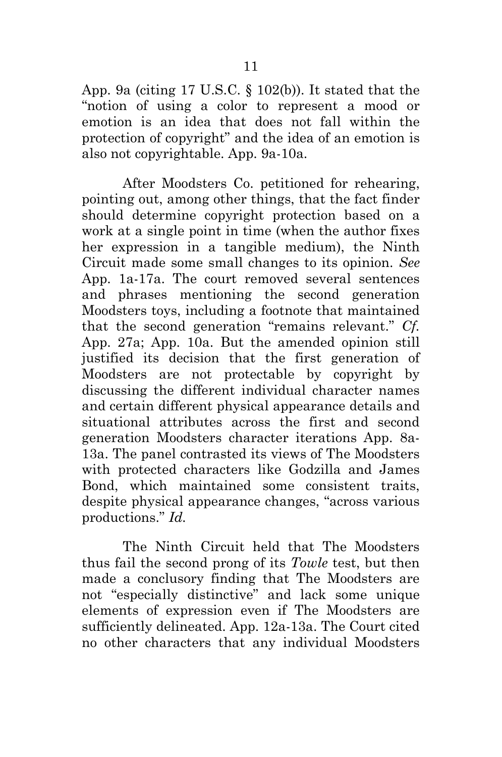App. 9a (citing 17 U.S.C. § 102(b)). It stated that the "notion of using a color to represent a mood or emotion is an idea that does not fall within the protection of copyright" and the idea of an emotion is also not copyrightable. App. 9a-10a.

After Moodsters Co. petitioned for rehearing, pointing out, among other things, that the fact finder should determine copyright protection based on a work at a single point in time (when the author fixes her expression in a tangible medium), the Ninth Circuit made some small changes to its opinion. *See*  App. 1a-17a. The court removed several sentences and phrases mentioning the second generation Moodsters toys, including a footnote that maintained that the second generation "remains relevant." *Cf.* App. 27a; App. 10a. But the amended opinion still justified its decision that the first generation of Moodsters are not protectable by copyright by discussing the different individual character names and certain different physical appearance details and situational attributes across the first and second generation Moodsters character iterations App. 8a-13a. The panel contrasted its views of The Moodsters with protected characters like Godzilla and James Bond, which maintained some consistent traits, despite physical appearance changes, "across various productions." *Id.*

The Ninth Circuit held that The Moodsters thus fail the second prong of its *Towle* test, but then made a conclusory finding that The Moodsters are not "especially distinctive" and lack some unique elements of expression even if The Moodsters are sufficiently delineated. App. 12a-13a. The Court cited no other characters that any individual Moodsters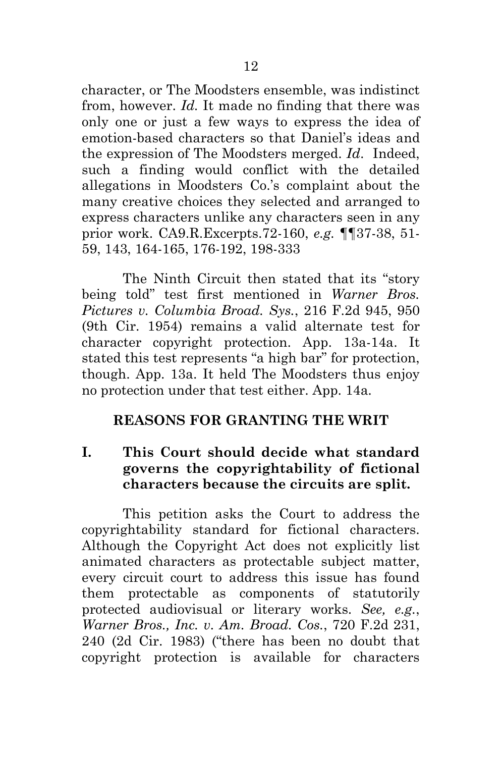character, or The Moodsters ensemble, was indistinct from, however. *Id.* It made no finding that there was only one or just a few ways to express the idea of emotion-based characters so that Daniel's ideas and the expression of The Moodsters merged. *Id*. Indeed, such a finding would conflict with the detailed allegations in Moodsters Co.'s complaint about the many creative choices they selected and arranged to express characters unlike any characters seen in any prior work. CA9.R.Excerpts.72-160, *e.g.* ¶¶37-38, 51- 59, 143, 164-165, 176-192, 198-333

<span id="page-23-2"></span>The Ninth Circuit then stated that its "story being told" test first mentioned in *Warner Bros. Pictures v. Columbia Broad. Sys.*, 216 F.2d 945, 950 (9th Cir. 1954) remains a valid alternate test for character copyright protection. App. 13a-14a. It stated this test represents "a high bar" for protection, though. App. 13a. It held The Moodsters thus enjoy no protection under that test either. App. 14a*.*

#### <span id="page-23-0"></span>**REASONS FOR GRANTING THE WRIT**

<span id="page-23-1"></span>**I. This Court should decide what standard governs the copyrightability of fictional characters because the circuits are split.** 

This petition asks the Court to address the copyrightability standard for fictional characters. Although the Copyright Act does not explicitly list animated characters as protectable subject matter, every circuit court to address this issue has found them protectable as components of statutorily protected audiovisual or literary works. *See, e.g.*, *Warner Bros., Inc. v. Am. Broad. Cos.*, 720 F.2d 231, 240 (2d Cir. 1983) ("there has been no doubt that copyright protection is available for characters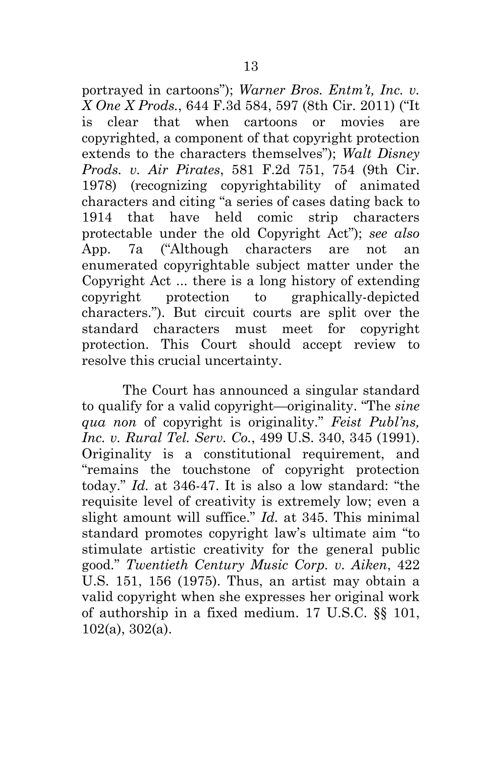<span id="page-24-3"></span><span id="page-24-2"></span>portrayed in cartoons"); *Warner Bros. Entm't, Inc. v. X One X Prods.*, 644 F.3d 584, 597 (8th Cir. 2011) ("It is clear that when cartoons or movies are copyrighted, a component of that copyright protection extends to the characters themselves"); *Walt Disney Prods. v. Air Pirates*, 581 F.2d 751, 754 (9th Cir. 1978) (recognizing copyrightability of animated characters and citing "a series of cases dating back to 1914 that have held comic strip characters protectable under the old Copyright Act"); *see also* App. 7a ("Although characters are not an enumerated copyrightable subject matter under the Copyright Act ... there is a long history of extending copyright protection to graphically-depicted characters."). But circuit courts are split over the standard characters must meet for copyright protection. This Court should accept review to resolve this crucial uncertainty.

<span id="page-24-4"></span><span id="page-24-1"></span><span id="page-24-0"></span>The Court has announced a singular standard to qualify for a valid copyright—originality. "The *sine qua non* of copyright is originality." *Feist Publ'ns, Inc. v. Rural Tel. Serv. Co.*, 499 U.S. 340, 345 (1991). Originality is a constitutional requirement, and "remains the touchstone of copyright protection today." *Id.* at 346-47. It is also a low standard: "the requisite level of creativity is extremely low; even a slight amount will suffice." *Id.* at 345. This minimal standard promotes copyright law's ultimate aim "to stimulate artistic creativity for the general public good." *Twentieth Century Music Corp. v. Aiken*, 422 U.S. 151, 156 (1975). Thus, an artist may obtain a valid copyright when she expresses her original work of authorship in a fixed medium. 17 U.S.C. §§ 101, 102(a), 302(a).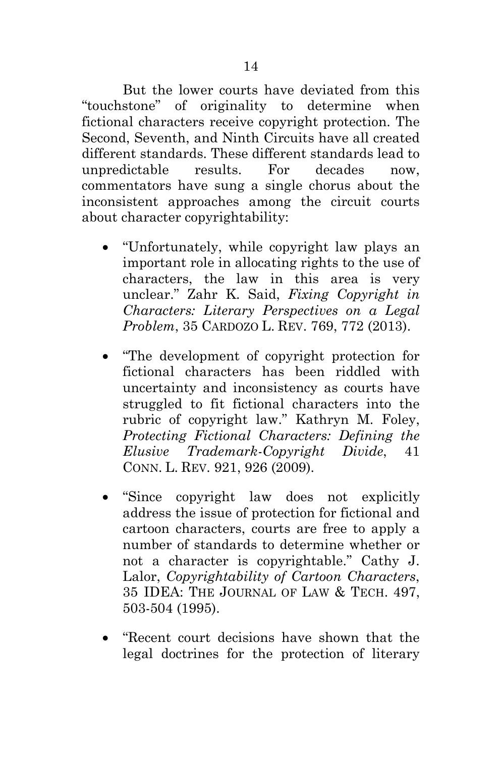But the lower courts have deviated from this "touchstone" of originality to determine when fictional characters receive copyright protection. The Second, Seventh, and Ninth Circuits have all created different standards. These different standards lead to unpredictable results. For decades now, commentators have sung a single chorus about the inconsistent approaches among the circuit courts about character copyrightability:

- <span id="page-25-2"></span>• "Unfortunately, while copyright law plays an important role in allocating rights to the use of characters, the law in this area is very unclear." Zahr K. Said, *Fixing Copyright in Characters: Literary Perspectives on a Legal Problem*, 35 CARDOZO L. REV. 769, 772 (2013).
- <span id="page-25-0"></span>• "The development of copyright protection for fictional characters has been riddled with uncertainty and inconsistency as courts have struggled to fit fictional characters into the rubric of copyright law." Kathryn M. Foley, *Protecting Fictional Characters: Defining the Elusive Trademark-Copyright Divide*, 41 CONN. L. REV. 921, 926 (2009).
- <span id="page-25-1"></span>• "Since copyright law does not explicitly address the issue of protection for fictional and cartoon characters, courts are free to apply a number of standards to determine whether or not a character is copyrightable." Cathy J. Lalor, *Copyrightability of Cartoon Characters*, 35 IDEA: THE JOURNAL OF LAW & TECH. 497, 503-504 (1995).
- "Recent court decisions have shown that the legal doctrines for the protection of literary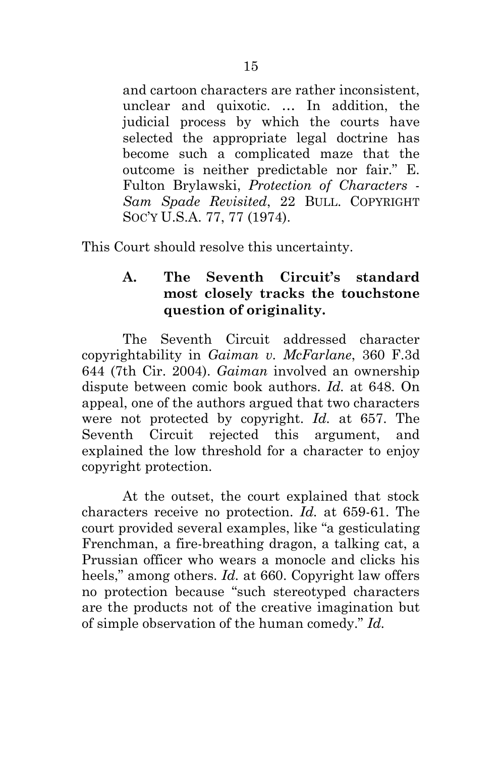<span id="page-26-2"></span>and cartoon characters are rather inconsistent, unclear and quixotic. … In addition, the judicial process by which the courts have selected the appropriate legal doctrine has become such a complicated maze that the outcome is neither predictable nor fair." E. Fulton Brylawski, *Protection of Characters - Sam Spade Revisited*, 22 BULL. COPYRIGHT SOC'Y U.S.A. 77, 77 (1974).

<span id="page-26-0"></span>This Court should resolve this uncertainty.

## <span id="page-26-1"></span>**A. The Seventh Circuit's standard most closely tracks the touchstone question of originality.**

The Seventh Circuit addressed character copyrightability in *Gaiman v. McFarlane*, 360 F.3d 644 (7th Cir. 2004). *Gaiman* involved an ownership dispute between comic book authors. *Id.* at 648. On appeal, one of the authors argued that two characters were not protected by copyright. *Id.* at 657. The Seventh Circuit rejected this argument, and explained the low threshold for a character to enjoy copyright protection.

At the outset, the court explained that stock characters receive no protection. *Id.* at 659-61. The court provided several examples, like "a gesticulating Frenchman, a fire-breathing dragon, a talking cat, a Prussian officer who wears a monocle and clicks his heels," among others. *Id.* at 660. Copyright law offers no protection because "such stereotyped characters are the products not of the creative imagination but of simple observation of the human comedy." *Id.*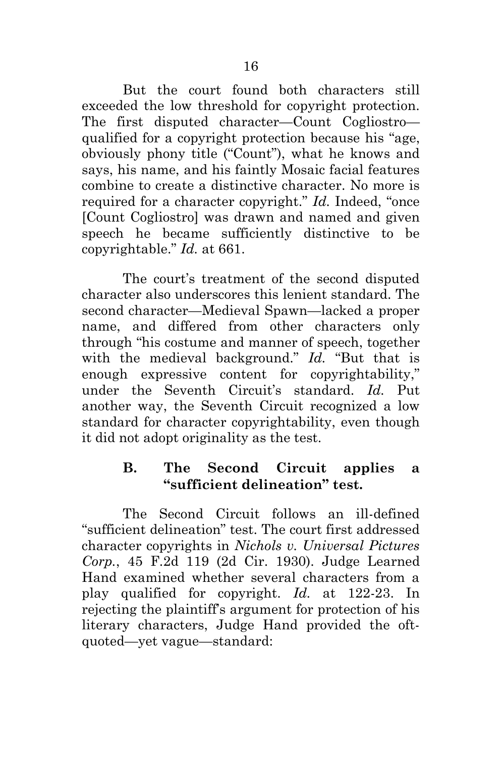But the court found both characters still exceeded the low threshold for copyright protection. The first disputed character—Count Cogliostro qualified for a copyright protection because his "age, obviously phony title ("Count"), what he knows and says, his name, and his faintly Mosaic facial features combine to create a distinctive character. No more is required for a character copyright." *Id.* Indeed, "once [Count Cogliostro] was drawn and named and given speech he became sufficiently distinctive to be copyrightable." *Id.* at 661.

<span id="page-27-1"></span>The court's treatment of the second disputed character also underscores this lenient standard. The second character—Medieval Spawn—lacked a proper name, and differed from other characters only through "his costume and manner of speech, together with the medieval background." *Id.* "But that is enough expressive content for copyrightability," under the Seventh Circuit's standard. *Id.* Put another way, the Seventh Circuit recognized a low standard for character copyrightability, even though it did not adopt originality as the test.

# <span id="page-27-2"></span><span id="page-27-0"></span>**B. The Second Circuit applies a "sufficient delineation" test.**

The Second Circuit follows an ill-defined "sufficient delineation" test. The court first addressed character copyrights in *Nichols v. Universal Pictures Corp.*, 45 F.2d 119 (2d Cir. 1930). Judge Learned Hand examined whether several characters from a play qualified for copyright. *Id.* at 122-23. In rejecting the plaintiff's argument for protection of his literary characters, Judge Hand provided the oftquoted—yet vague—standard: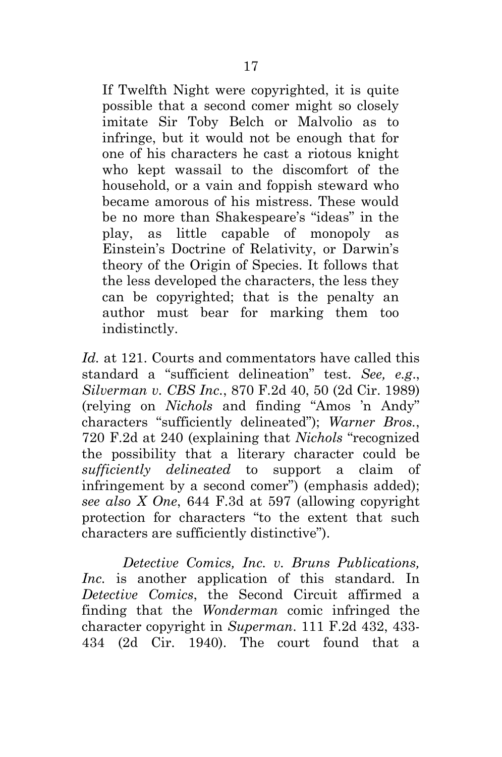If Twelfth Night were copyrighted, it is quite possible that a second comer might so closely imitate Sir Toby Belch or Malvolio as to infringe, but it would not be enough that for one of his characters he cast a riotous knight who kept wassail to the discomfort of the household, or a vain and foppish steward who became amorous of his mistress. These would be no more than Shakespeare's "ideas" in the play, as little capable of monopoly as Einstein's Doctrine of Relativity, or Darwin's theory of the Origin of Species. It follows that the less developed the characters, the less they can be copyrighted; that is the penalty an author must bear for marking them too indistinctly.

<span id="page-28-4"></span><span id="page-28-2"></span><span id="page-28-1"></span>*Id.* at 121. Courts and commentators have called this standard a "sufficient delineation" test. *See, e.g*., *Silverman v. CBS Inc.*, 870 F.2d 40, 50 (2d Cir. 1989) (relying on *Nichols* and finding "Amos 'n Andy" characters "sufficiently delineated"); *Warner Bros.*, 720 F.2d at 240 (explaining that *Nichols* "recognized the possibility that a literary character could be *sufficiently delineated* to support a claim of infringement by a second comer") (emphasis added); *see also X One*, 644 F.3d at 597 (allowing copyright protection for characters "to the extent that such characters are sufficiently distinctive").

<span id="page-28-3"></span><span id="page-28-0"></span>*Detective Comics, Inc. v. Bruns Publications, Inc.* is another application of this standard. In *Detective Comics*, the Second Circuit affirmed a finding that the *Wonderman* comic infringed the character copyright in *Superman*. 111 F.2d 432, 433- 434 (2d Cir. 1940). The court found that a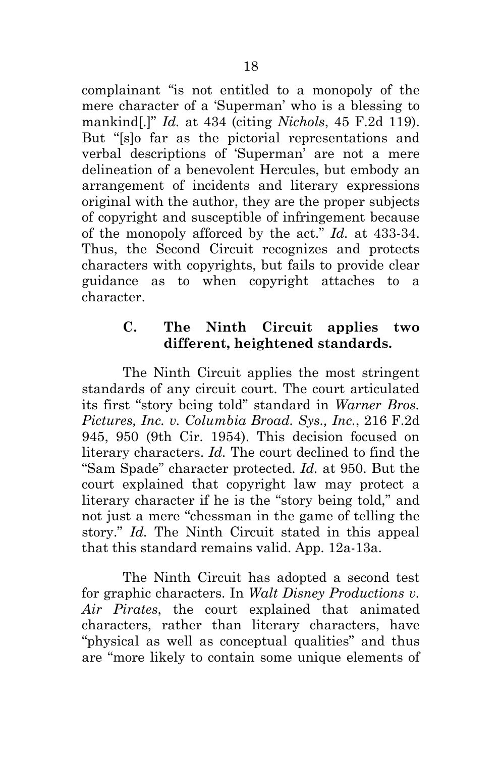<span id="page-29-1"></span>complainant "is not entitled to a monopoly of the mere character of a 'Superman' who is a blessing to mankind[.]" *Id.* at 434 (citing *Nichols*, 45 F.2d 119). But "[s]o far as the pictorial representations and verbal descriptions of 'Superman' are not a mere delineation of a benevolent Hercules, but embody an arrangement of incidents and literary expressions original with the author, they are the proper subjects of copyright and susceptible of infringement because of the monopoly afforced by the act." *Id.* at 433-34. Thus, the Second Circuit recognizes and protects characters with copyrights, but fails to provide clear guidance as to when copyright attaches to a character.

## <span id="page-29-3"></span><span id="page-29-0"></span>**C. The Ninth Circuit applies two different, heightened standards.**

The Ninth Circuit applies the most stringent standards of any circuit court. The court articulated its first "story being told" standard in *Warner Bros. Pictures, Inc. v. Columbia Broad. Sys., Inc.*, 216 F.2d 945, 950 (9th Cir. 1954). This decision focused on literary characters. *Id.* The court declined to find the "Sam Spade" character protected. *Id.* at 950. But the court explained that copyright law may protect a literary character if he is the "story being told," and not just a mere "chessman in the game of telling the story." *Id.* The Ninth Circuit stated in this appeal that this standard remains valid. App. 12a-13a.

<span id="page-29-2"></span>The Ninth Circuit has adopted a second test for graphic characters. In *Walt Disney Productions v. Air Pirates*, the court explained that animated characters, rather than literary characters, have "physical as well as conceptual qualities" and thus are "more likely to contain some unique elements of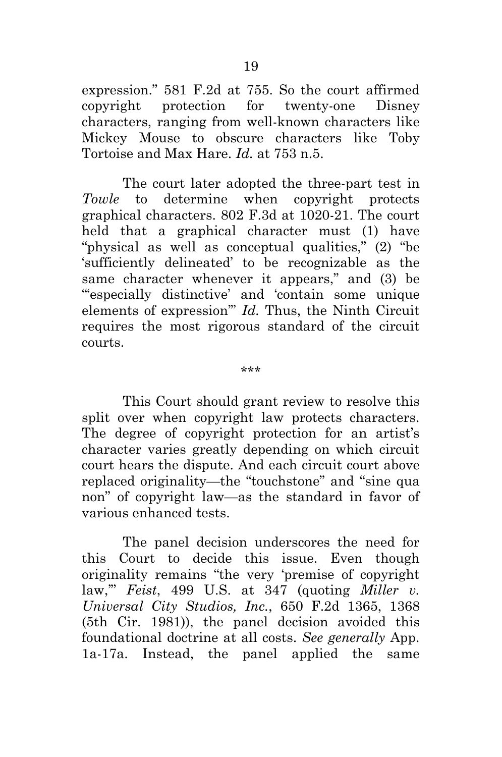<span id="page-30-2"></span>expression." 581 F.2d at 755. So the court affirmed copyright protection for twenty-one Disney characters, ranging from well-known characters like Mickey Mouse to obscure characters like Toby Tortoise and Max Hare. *Id.* at 753 n.5.

<span id="page-30-0"></span>The court later adopted the three-part test in *Towle* to determine when copyright protects graphical characters. 802 F.3d at 1020-21. The court held that a graphical character must (1) have "physical as well as conceptual qualities," (2) "be 'sufficiently delineated' to be recognizable as the same character whenever it appears," and (3) be "'especially distinctive' and 'contain some unique elements of expression'" *Id.* Thus, the Ninth Circuit requires the most rigorous standard of the circuit courts.

This Court should grant review to resolve this split over when copyright law protects characters. The degree of copyright protection for an artist's character varies greatly depending on which circuit court hears the dispute. And each circuit court above replaced originality—the "touchstone" and "sine qua non" of copyright law—as the standard in favor of various enhanced tests.

<span id="page-30-1"></span>The panel decision underscores the need for this Court to decide this issue. Even though originality remains "the very 'premise of copyright law,'" *Feist*, 499 U.S. at 347 (quoting *Miller v. Universal City Studios, Inc.*, 650 F.2d 1365, 1368 (5th Cir. 1981)), the panel decision avoided this foundational doctrine at all costs. *See generally* App. 1a-17a. Instead, the panel applied the same

\*\*\*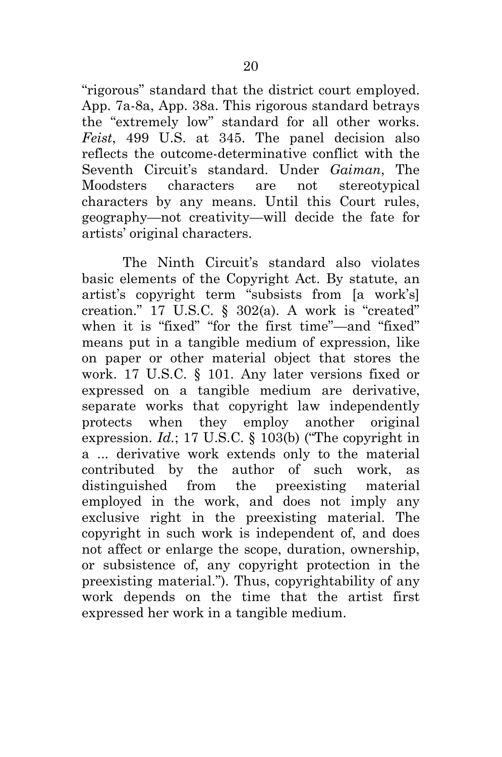<span id="page-31-0"></span>"rigorous" standard that the district court employed. App. 7a-8a, App. 38a. This rigorous standard betrays the "extremely low" standard for all other works. *Feist*, 499 U.S. at 345. The panel decision also reflects the outcome-determinative conflict with the Seventh Circuit's standard. Under *Gaiman*, The Moodsters characters are not stereotypical characters by any means. Until this Court rules, geography—not creativity—will decide the fate for artists' original characters.

<span id="page-31-3"></span><span id="page-31-2"></span><span id="page-31-1"></span>The Ninth Circuit's standard also violates basic elements of the Copyright Act. By statute, an artist's copyright term "subsists from [a work's] creation."  $17$  U.S.C. § 302(a). A work is "created" when it is "fixed" "for the first time"—and "fixed" means put in a tangible medium of expression, like on paper or other material object that stores the work. 17 U.S.C. § 101. Any later versions fixed or expressed on a tangible medium are derivative, separate works that copyright law independently protects when they employ another original expression. *Id.*; 17 U.S.C. § 103(b) ("The copyright in a ... derivative work extends only to the material contributed by the author of such work, as distinguished from the preexisting material employed in the work, and does not imply any exclusive right in the preexisting material. The copyright in such work is independent of, and does not affect or enlarge the scope, duration, ownership, or subsistence of, any copyright protection in the preexisting material."). Thus, copyrightability of any work depends on the time that the artist first expressed her work in a tangible medium.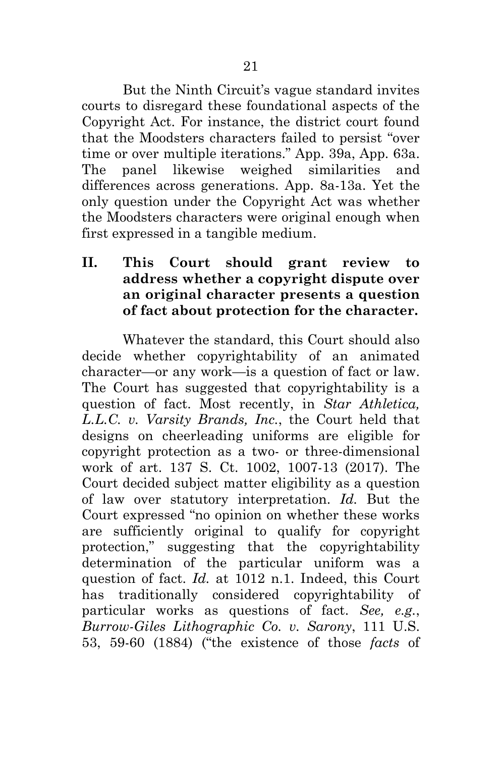But the Ninth Circuit's vague standard invites courts to disregard these foundational aspects of the Copyright Act. For instance, the district court found that the Moodsters characters failed to persist "over time or over multiple iterations." App. 39a, App. 63a. The panel likewise weighed similarities and differences across generations. App. 8a-13a. Yet the only question under the Copyright Act was whether the Moodsters characters were original enough when first expressed in a tangible medium.

<span id="page-32-0"></span>**II. This Court should grant review to address whether a copyright dispute over an original character presents a question of fact about protection for the character.** 

<span id="page-32-2"></span><span id="page-32-1"></span>Whatever the standard, this Court should also decide whether copyrightability of an animated character—or any work—is a question of fact or law. The Court has suggested that copyrightability is a question of fact. Most recently, in *Star Athletica, L.L.C. v. Varsity Brands, Inc.*, the Court held that designs on cheerleading uniforms are eligible for copyright protection as a two- or three-dimensional work of art. 137 S. Ct. 1002, 1007-13 (2017). The Court decided subject matter eligibility as a question of law over statutory interpretation. *Id.* But the Court expressed "no opinion on whether these works are sufficiently original to qualify for copyright protection," suggesting that the copyrightability determination of the particular uniform was a question of fact. *Id.* at 1012 n.1. Indeed, this Court has traditionally considered copyrightability of particular works as questions of fact. *See, e.g.*, *Burrow-Giles Lithographic Co. v. Sarony*, 111 U.S. 53, 59-60 (1884) ("the existence of those *facts* of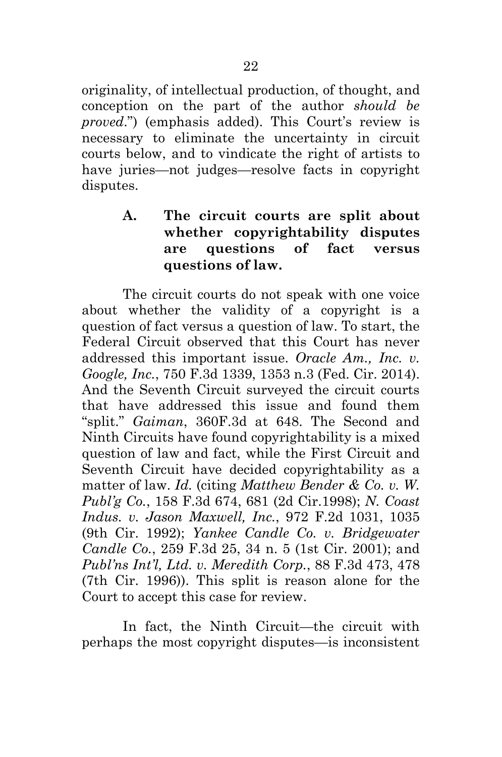originality, of intellectual production, of thought, and conception on the part of the author *should be proved*.") (emphasis added). This Court's review is necessary to eliminate the uncertainty in circuit courts below, and to vindicate the right of artists to have juries—not judges—resolve facts in copyright disputes.

## <span id="page-33-2"></span><span id="page-33-0"></span>**A. The circuit courts are split about whether copyrightability disputes are questions of fact versus questions of law.**

<span id="page-33-1"></span>The circuit courts do not speak with one voice about whether the validity of a copyright is a question of fact versus a question of law. To start, the Federal Circuit observed that this Court has never addressed this important issue. *Oracle Am., Inc. v. Google, Inc.*, 750 F.3d 1339, 1353 n.3 (Fed. Cir. 2014). And the Seventh Circuit surveyed the circuit courts that have addressed this issue and found them "split." *Gaiman*, 360F.3d at 648. The Second and Ninth Circuits have found copyrightability is a mixed question of law and fact, while the First Circuit and Seventh Circuit have decided copyrightability as a matter of law. *Id.* (citing *Matthew Bender & Co. v. W. Publ'g Co.*, 158 F.3d 674, 681 (2d Cir.1998); *N. Coast Indus. v. Jason Maxwell, Inc.*, 972 F.2d 1031, 1035 (9th Cir. 1992); *Yankee Candle Co. v. Bridgewater Candle Co.*, 259 F.3d 25, 34 n. 5 (1st Cir. 2001); and *Publ'ns Int'l, Ltd. v. Meredith Corp.*, 88 F.3d 473, 478 (7th Cir. 1996)). This split is reason alone for the Court to accept this case for review.

In fact, the Ninth Circuit—the circuit with perhaps the most copyright disputes—is inconsistent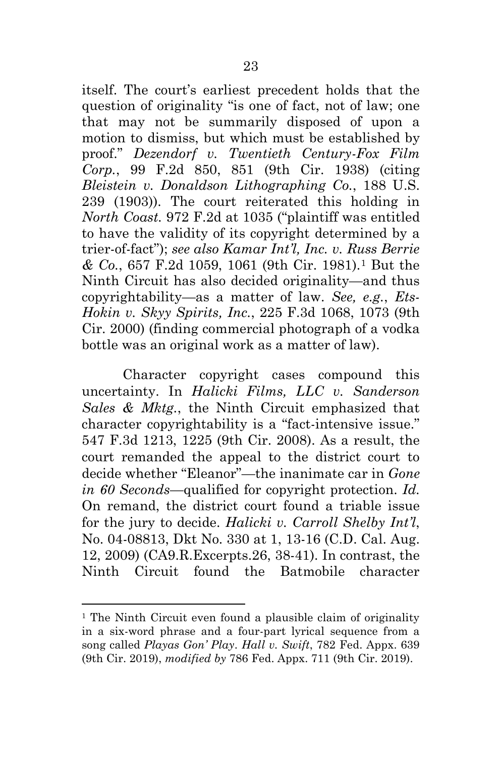<span id="page-34-6"></span><span id="page-34-0"></span>itself. The court's earliest precedent holds that the question of originality "is one of fact, not of law; one that may not be summarily disposed of upon a motion to dismiss, but which must be established by proof." *Dezendorf v. Twentieth Century-Fox Film Corp.*, 99 F.2d 850, 851 (9th Cir. 1938) (citing *Bleistein v. Donaldson Lithographing Co.*, 188 U.S. 239 (1903)). The court reiterated this holding in *North Coast.* 972 F.2d at 1035 ("plaintiff was entitled to have the validity of its copyright determined by a trier-of-fact"); *see also Kamar Int'l, Inc. v. Russ Berrie & Co.*, 657 F.2d 1059, 1061 (9th Cir. 1981).[1](#page-34-7) But the Ninth Circuit has also decided originality—and thus copyrightability—as a matter of law. *See, e.g.*, *Ets-Hokin v. Skyy Spirits, Inc.*, 225 F.3d 1068, 1073 (9th Cir. 2000) (finding commercial photograph of a vodka bottle was an original work as a matter of law).

<span id="page-34-5"></span><span id="page-34-2"></span><span id="page-34-1"></span>Character copyright cases compound this uncertainty. In *Halicki Films, LLC v. Sanderson Sales & Mktg.*, the Ninth Circuit emphasized that character copyrightability is a "fact-intensive issue." 547 F.3d 1213, 1225 (9th Cir. 2008). As a result, the court remanded the appeal to the district court to decide whether "Eleanor"—the inanimate car in *Gone in 60 Seconds*—qualified for copyright protection. *Id.* On remand, the district court found a triable issue for the jury to decide. *Halicki v. Carroll Shelby Int'l*, No. 04-08813, Dkt No. 330 at 1, 13-16 (C.D. Cal. Aug. 12, 2009) (CA9.R.Excerpts.26, 38-41). In contrast, the Ninth Circuit found the Batmobile character

<span id="page-34-7"></span><span id="page-34-4"></span><span id="page-34-3"></span><sup>&</sup>lt;sup>1</sup> The Ninth Circuit even found a plausible claim of originality in a six-word phrase and a four-part lyrical sequence from a song called *Playas Gon' Play*. *Hall v. Swift*, 782 Fed. Appx. 639 (9th Cir. 2019), *modified by* 786 Fed. Appx. 711 (9th Cir. 2019).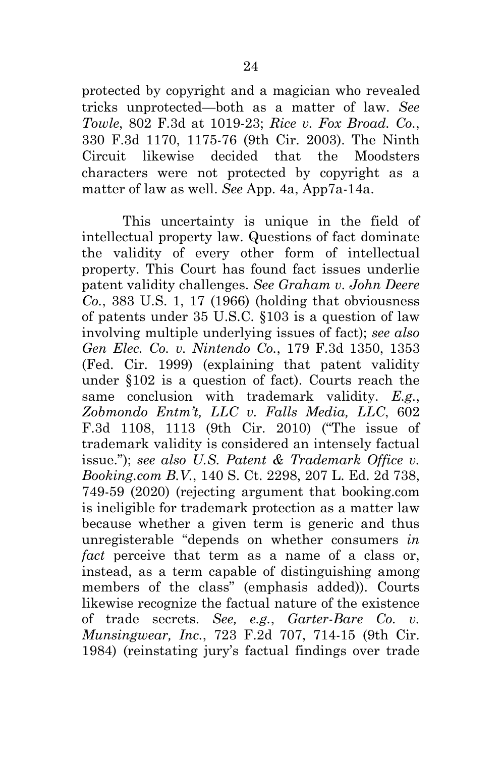<span id="page-35-4"></span><span id="page-35-0"></span>protected by copyright and a magician who revealed tricks unprotected—both as a matter of law. *See Towle*, 802 F.3d at 1019-23; *Rice v. Fox Broad. Co.*, 330 F.3d 1170, 1175-76 (9th Cir. 2003). The Ninth Circuit likewise decided that the Moodsters characters were not protected by copyright as a matter of law as well. *See* App. 4a, App7a-14a.

<span id="page-35-7"></span><span id="page-35-6"></span><span id="page-35-5"></span><span id="page-35-3"></span><span id="page-35-2"></span><span id="page-35-1"></span>This uncertainty is unique in the field of intellectual property law. Questions of fact dominate the validity of every other form of intellectual property. This Court has found fact issues underlie patent validity challenges. *See Graham v. John Deere Co.*, 383 U.S. 1, 17 (1966) (holding that obviousness of patents under 35 U.S.C. §103 is a question of law involving multiple underlying issues of fact); *see also Gen Elec. Co. v. Nintendo Co.*, 179 F.3d 1350, 1353 (Fed. Cir. 1999) (explaining that patent validity under §102 is a question of fact). Courts reach the same conclusion with trademark validity. *E.g.*, *Zobmondo Entm't, LLC v. Falls Media, LLC*, 602 F.3d 1108, 1113 (9th Cir. 2010) ("The issue of trademark validity is considered an intensely factual issue."); *see also U.S. Patent & Trademark Office v. Booking.com B.V.*, 140 S. Ct. 2298, 207 L. Ed. 2d 738, 749-59 (2020) (rejecting argument that booking.com is ineligible for trademark protection as a matter law because whether a given term is generic and thus unregisterable "depends on whether consumers *in fact* perceive that term as a name of a class or, instead, as a term capable of distinguishing among members of the class" (emphasis added)). Courts likewise recognize the factual nature of the existence of trade secrets. *See, e.g.*, *Garter-Bare Co. v. Munsingwear, Inc.*, 723 F.2d 707, 714-15 (9th Cir. 1984) (reinstating jury's factual findings over trade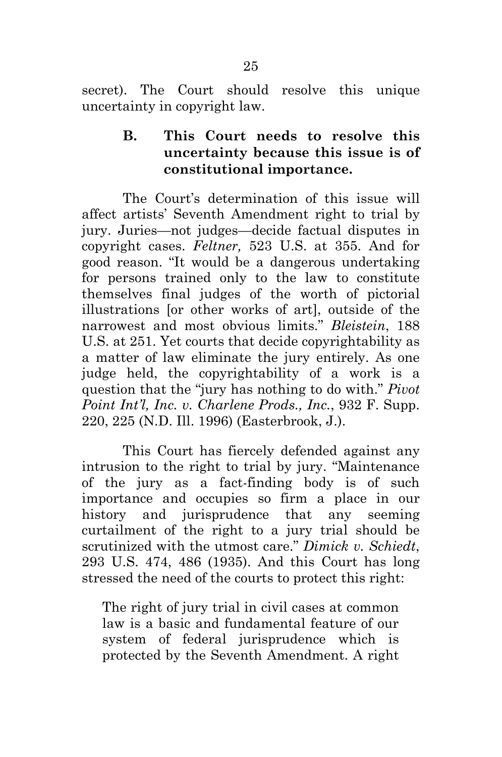secret). The Court should resolve this unique uncertainty in copyright law.

> <span id="page-36-0"></span>**B. This Court needs to resolve this uncertainty because this issue is of constitutional importance.**

<span id="page-36-3"></span><span id="page-36-1"></span>The Court's determination of this issue will affect artists' Seventh Amendment right to trial by jury. Juries—not judges—decide factual disputes in copyright cases. *Feltner,* 523 U.S. at 355. And for good reason. "It would be a dangerous undertaking for persons trained only to the law to constitute themselves final judges of the worth of pictorial illustrations [or other works of art], outside of the narrowest and most obvious limits." *Bleistein*, 188 U.S. at 251. Yet courts that decide copyrightability as a matter of law eliminate the jury entirely. As one judge held, the copyrightability of a work is a question that the "jury has nothing to do with." *Pivot Point Int'l, Inc. v. Charlene Prods., Inc.*, 932 F. Supp. 220, 225 (N.D. Ill. 1996) (Easterbrook, J.).

<span id="page-36-4"></span>This Court has fiercely defended against any intrusion to the right to trial by jury. "Maintenance of the jury as a fact-finding body is of such importance and occupies so firm a place in our history and jurisprudence that any seeming curtailment of the right to a jury trial should be scrutinized with the utmost care." *Dimick v. Schiedt*, 293 U.S. 474, 486 (1935). And this Court has long stressed the need of the courts to protect this right:

<span id="page-36-2"></span>The right of jury trial in civil cases at common law is a basic and fundamental feature of our system of federal jurisprudence which is protected by the Seventh Amendment. A right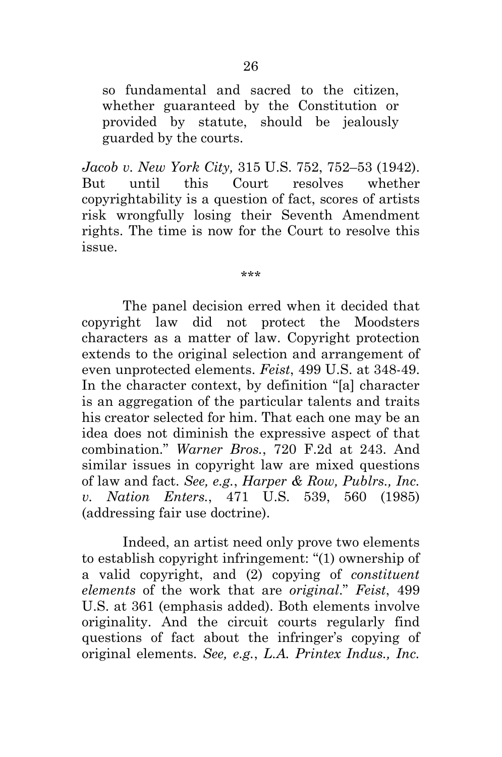so fundamental and sacred to the citizen, whether guaranteed by the Constitution or provided by statute, should be jealously guarded by the courts.

<span id="page-37-2"></span>*Jacob v. New York City,* 315 U.S. 752, 752–53 (1942). But until this Court resolves whether copyrightability is a question of fact, scores of artists risk wrongfully losing their Seventh Amendment rights. The time is now for the Court to resolve this issue.

<span id="page-37-0"></span>\*\*\*

The panel decision erred when it decided that copyright law did not protect the Moodsters characters as a matter of law. Copyright protection extends to the original selection and arrangement of even unprotected elements. *Feist*, 499 U.S. at 348-49. In the character context, by definition "[a] character is an aggregation of the particular talents and traits his creator selected for him. That each one may be an idea does not diminish the expressive aspect of that combination." *Warner Bros.*, 720 F.2d at 243. And similar issues in copyright law are mixed questions of law and fact. *See, e.g.*, *Harper & Row, Publrs., Inc. v. Nation Enters.*, 471 U.S. 539, 560 (1985) (addressing fair use doctrine).

<span id="page-37-4"></span><span id="page-37-3"></span><span id="page-37-1"></span>Indeed, an artist need only prove two elements to establish copyright infringement: "(1) ownership of a valid copyright, and (2) copying of *constituent elements* of the work that are *original*." *Feist*, 499 U.S. at 361 (emphasis added). Both elements involve originality. And the circuit courts regularly find questions of fact about the infringer's copying of original elements. *See, e.g.*, *L.A. Printex Indus., Inc.*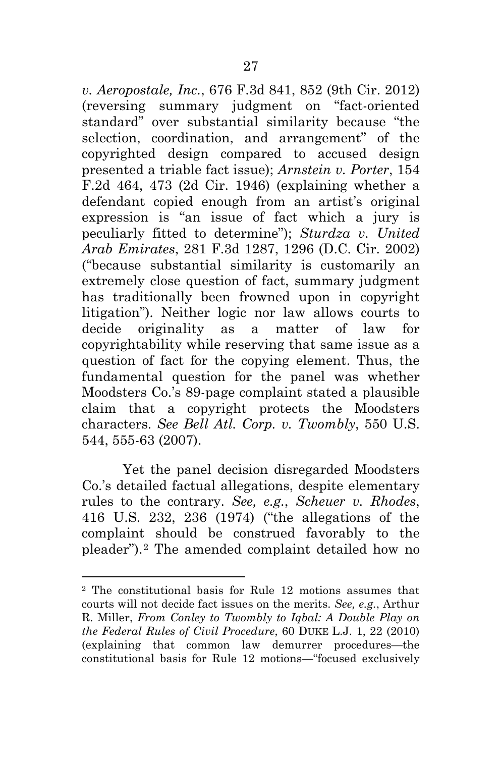<span id="page-38-3"></span><span id="page-38-0"></span>*v. Aeropostale, Inc.*, 676 F.3d 841, 852 (9th Cir. 2012) (reversing summary judgment on "fact-oriented standard" over substantial similarity because "the selection, coordination, and arrangement" of the copyrighted design compared to accused design presented a triable fact issue); *Arnstein v. Porter*, 154 F.2d 464, 473 (2d Cir. 1946) (explaining whether a defendant copied enough from an artist's original expression is "an issue of fact which a jury is peculiarly fitted to determine"); *Sturdza v. United Arab Emirates*, 281 F.3d 1287, 1296 (D.C. Cir. 2002) ("because substantial similarity is customarily an extremely close question of fact, summary judgment has traditionally been frowned upon in copyright litigation"). Neither logic nor law allows courts to decide originality as a matter of law for copyrightability while reserving that same issue as a question of fact for the copying element. Thus, the fundamental question for the panel was whether Moodsters Co.'s 89-page complaint stated a plausible claim that a copyright protects the Moodsters characters. *See Bell Atl. Corp. v. Twombly*, 550 U.S. 544, 555-63 (2007).

<span id="page-38-2"></span><span id="page-38-1"></span>Yet the panel decision disregarded Moodsters Co.'s detailed factual allegations, despite elementary rules to the contrary. *See, e.g.*, *Scheuer v. Rhodes*, 416 U.S. 232, 236 (1974) ("the allegations of the complaint should be construed favorably to the pleader").[2](#page-38-6) The amended complaint detailed how no

<span id="page-38-6"></span><span id="page-38-5"></span><span id="page-38-4"></span><sup>2</sup> The constitutional basis for Rule 12 motions assumes that courts will not decide fact issues on the merits. *See, e.g.*, Arthur R. Miller, *From Conley to Twombly to Iqbal: A Double Play on the Federal Rules of Civil Procedure*, 60 DUKE L.J. 1, 22 (2010) (explaining that common law demurrer procedures—the constitutional basis for Rule 12 motions—"focused exclusively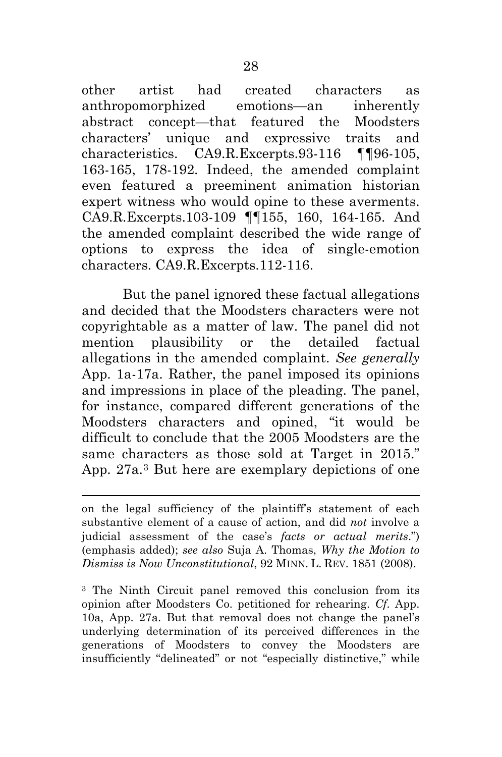other artist had created characters as anthropomorphized emotions—an inherently abstract concept—that featured the Moodsters characters' unique and expressive traits and characteristics. CA9.R.Excerpts.93-116 ¶¶96-105, 163-165, 178-192. Indeed, the amended complaint even featured a preeminent animation historian expert witness who would opine to these averments. CA9.R.Excerpts.103-109 ¶¶155, 160, 164-165. And the amended complaint described the wide range of options to express the idea of single-emotion characters. CA9.R.Excerpts.112-116.

But the panel ignored these factual allegations and decided that the Moodsters characters were not copyrightable as a matter of law. The panel did not mention plausibility or the detailed factual allegations in the amended complaint. *See generally* App. 1a-17a. Rather, the panel imposed its opinions and impressions in place of the pleading. The panel, for instance, compared different generations of the Moodsters characters and opined, "it would be difficult to conclude that the 2005 Moodsters are the same characters as those sold at Target in 2015." App. 27a.[3](#page-39-1) But here are exemplary depictions of one

<span id="page-39-1"></span><sup>3</sup> The Ninth Circuit panel removed this conclusion from its opinion after Moodsters Co. petitioned for rehearing. *Cf.* App. 10a, App. 27a. But that removal does not change the panel's underlying determination of its perceived differences in the generations of Moodsters to convey the Moodsters are insufficiently "delineated" or not "especially distinctive," while

<span id="page-39-0"></span>on the legal sufficiency of the plaintiff's statement of each substantive element of a cause of action, and did *not* involve a judicial assessment of the case's *facts or actual merits*.") (emphasis added); *see also* Suja A. Thomas, *Why the Motion to Dismiss is Now Unconstitutional*, 92 MINN. L. REV. 1851 (2008).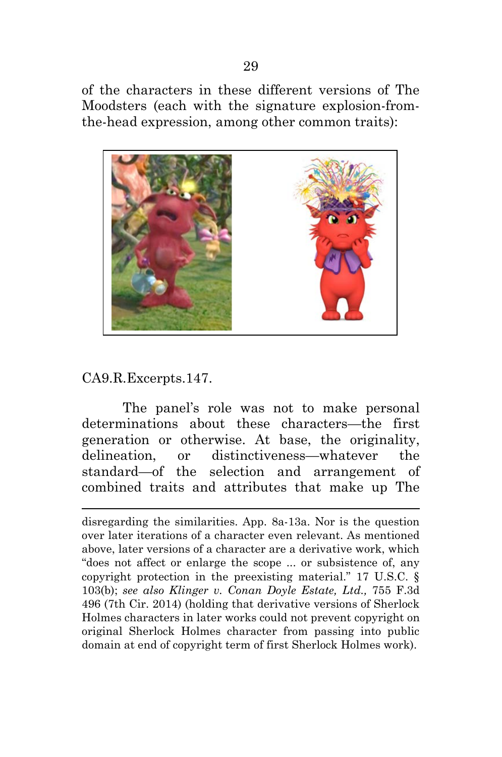of the characters in these different versions of The Moodsters (each with the signature explosion-fromthe-head expression, among other common traits):



#### CA9.R.Excerpts.147.

The panel's role was not to make personal determinations about these characters—the first generation or otherwise. At base, the originality, delineation, or distinctiveness—whatever the standard—of the selection and arrangement of combined traits and attributes that make up The

<span id="page-40-1"></span><span id="page-40-0"></span>disregarding the similarities. App. 8a-13a. Nor is the question over later iterations of a character even relevant. As mentioned above, later versions of a character are a derivative work, which "does not affect or enlarge the scope ... or subsistence of, any copyright protection in the preexisting material." 17 U.S.C. § 103(b); *see also Klinger v. Conan Doyle Estate, Ltd.,* 755 F.3d 496 (7th Cir. 2014) (holding that derivative versions of Sherlock Holmes characters in later works could not prevent copyright on original Sherlock Holmes character from passing into public domain at end of copyright term of first Sherlock Holmes work).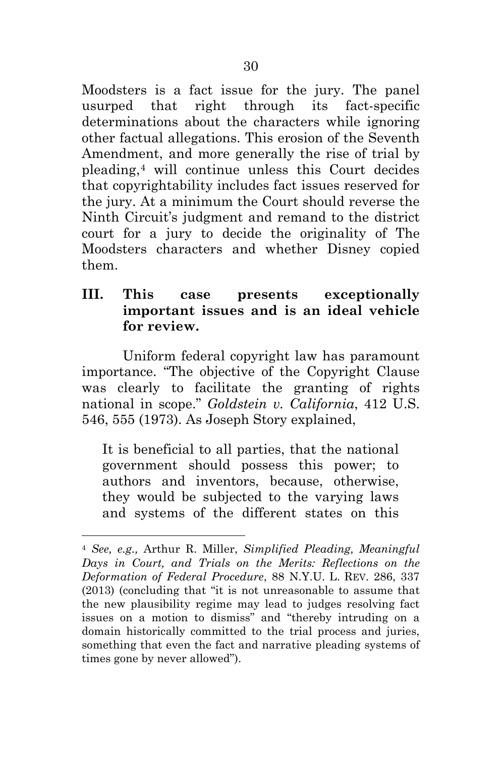Moodsters is a fact issue for the jury. The panel usurped that right through its fact-specific determinations about the characters while ignoring other factual allegations. This erosion of the Seventh Amendment, and more generally the rise of trial by pleading,[4](#page-41-3) will continue unless this Court decides that copyrightability includes fact issues reserved for the jury. At a minimum the Court should reverse the Ninth Circuit's judgment and remand to the district court for a jury to decide the originality of The Moodsters characters and whether Disney copied them.

#### <span id="page-41-0"></span>**III. This case presents exceptionally important issues and is an ideal vehicle for review.**

Uniform federal copyright law has paramount importance. "The objective of the Copyright Clause was clearly to facilitate the granting of rights national in scope." *Goldstein v. California*, 412 U.S. 546, 555 (1973). As Joseph Story explained,

<span id="page-41-1"></span>It is beneficial to all parties, that the national government should possess this power; to authors and inventors, because, otherwise, they would be subjected to the varying laws and systems of the different states on this

<span id="page-41-3"></span><span id="page-41-2"></span><sup>4</sup> *See, e.g.,* Arthur R. Miller, *Simplified Pleading, Meaningful Days in Court, and Trials on the Merits: Reflections on the Deformation of Federal Procedure*, 88 N.Y.U. L. REV. 286, 337 (2013) (concluding that "it is not unreasonable to assume that the new plausibility regime may lead to judges resolving fact issues on a motion to dismiss" and "thereby intruding on a domain historically committed to the trial process and juries, something that even the fact and narrative pleading systems of times gone by never allowed").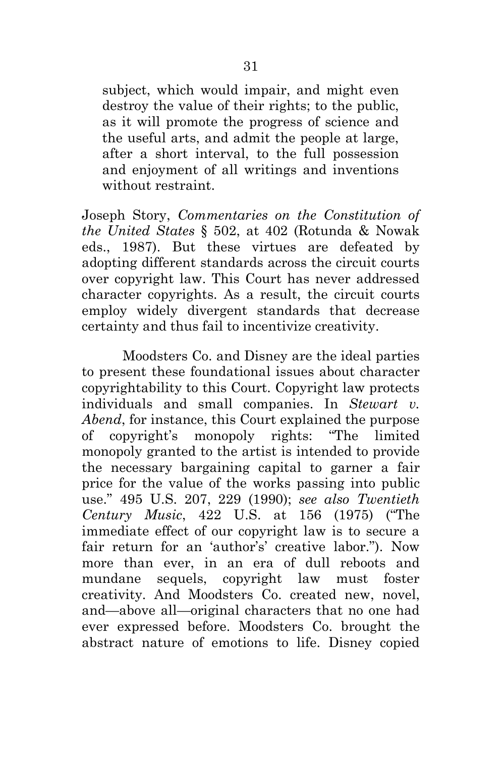subject, which would impair, and might even destroy the value of their rights; to the public, as it will promote the progress of science and the useful arts, and admit the people at large, after a short interval, to the full possession and enjoyment of all writings and inventions without restraint.

<span id="page-42-2"></span>Joseph Story, *Commentaries on the Constitution of the United States* § 502, at 402 (Rotunda & Nowak eds., 1987). But these virtues are defeated by adopting different standards across the circuit courts over copyright law. This Court has never addressed character copyrights. As a result, the circuit courts employ widely divergent standards that decrease certainty and thus fail to incentivize creativity.

<span id="page-42-1"></span><span id="page-42-0"></span>Moodsters Co. and Disney are the ideal parties to present these foundational issues about character copyrightability to this Court. Copyright law protects individuals and small companies. In *Stewart v. Abend*, for instance, this Court explained the purpose of copyright's monopoly rights: "The limited monopoly granted to the artist is intended to provide the necessary bargaining capital to garner a fair price for the value of the works passing into public use." 495 U.S. 207, 229 (1990); *see also Twentieth Century Music*, 422 U.S. at 156 (1975) ("The immediate effect of our copyright law is to secure a fair return for an 'author's' creative labor."). Now more than ever, in an era of dull reboots and mundane sequels, copyright law must foster creativity. And Moodsters Co. created new, novel, and—above all—original characters that no one had ever expressed before. Moodsters Co. brought the abstract nature of emotions to life. Disney copied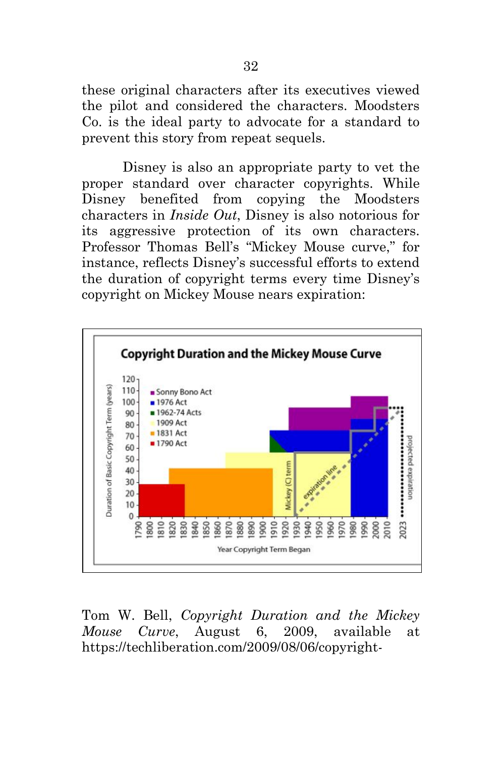these original characters after its executives viewed the pilot and considered the characters. Moodsters Co. is the ideal party to advocate for a standard to prevent this story from repeat sequels.

Disney is also an appropriate party to vet the proper standard over character copyrights. While Disney benefited from copying the Moodsters characters in *Inside Out*, Disney is also notorious for its aggressive protection of its own characters. Professor Thomas Bell's "Mickey Mouse curve," for instance, reflects Disney's successful efforts to extend the duration of copyright terms every time Disney's copyright on Mickey Mouse nears expiration:



<span id="page-43-0"></span>Tom W. Bell, *Copyright Duration and the Mickey Mouse Curve*, August 6, 2009, available at https://techliberation.com/2009/08/06/copyright-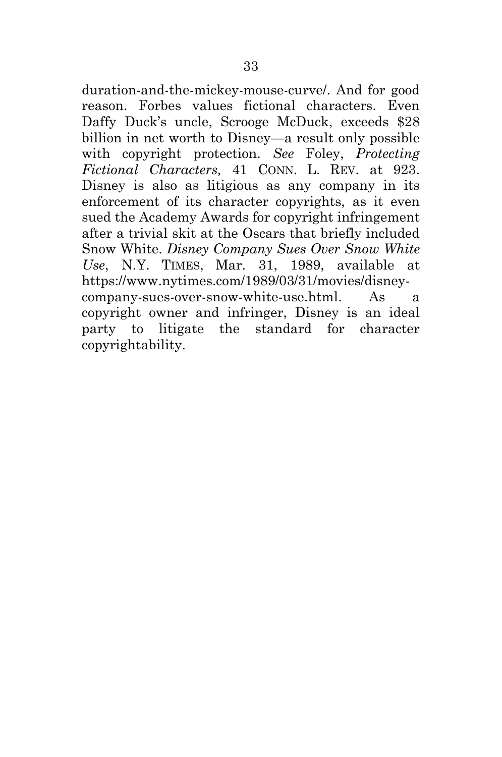<span id="page-44-2"></span><span id="page-44-1"></span><span id="page-44-0"></span>duration-and-the-mickey-mouse-curve/. And for good reason. Forbes values fictional characters. Even Daffy Duck's uncle, Scrooge McDuck, exceeds \$28 billion in net worth to Disney—a result only possible with copyright protection. *See* Foley, *Protecting Fictional Characters,* 41 CONN. L. REV. at 923. Disney is also as litigious as any company in its enforcement of its character copyrights, as it even sued the Academy Awards for copyright infringement after a trivial skit at the Oscars that briefly included Snow White. *Disney Company Sues Over Snow White Use*, N.Y. TIMES, Mar. 31, 1989, available at https://www.nytimes.com/1989/03/31/movies/disneycompany-sues-over-snow-white-use.html. As a copyright owner and infringer, Disney is an ideal party to litigate the standard for character copyrightability.